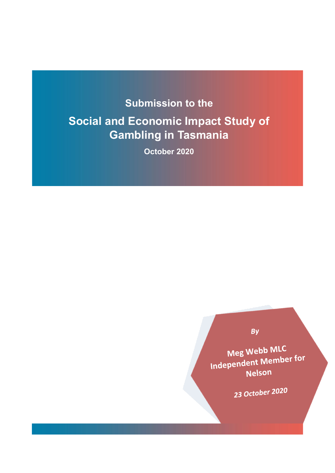# **Submission to the Social and Economic Impact Study of Gambling in Tasmania**

**October 2020**

# By

Meg Webb MLC Meg webb wilder for Nelson

23 October 2020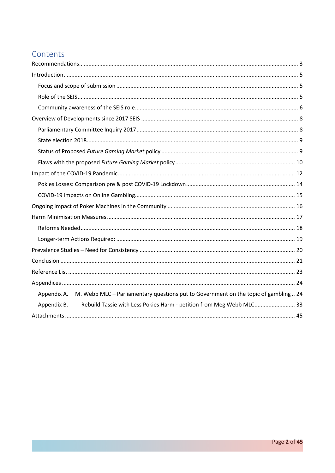# Contents

| Appendix A. M. Webb MLC - Parliamentary questions put to Government on the topic of gambling  24 |
|--------------------------------------------------------------------------------------------------|
| Rebuild Tassie with Less Pokies Harm - petition from Meg Webb MLC 33<br>Appendix B.              |
|                                                                                                  |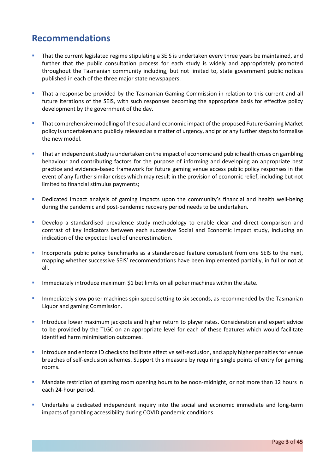# <span id="page-2-0"></span>**Recommendations**

- **That the current legislated regime stipulating a SEIS is undertaken every three years be maintained, and** further that the public consultation process for each study is widely and appropriately promoted throughout the Tasmanian community including, but not limited to, state government public notices published in each of the three major state newspapers.
- That a response be provided by the Tasmanian Gaming Commission in relation to this current and all future iterations of the SEIS, with such responses becoming the appropriate basis for effective policy development by the government of the day.
- **That comprehensive modelling of the social and economic impact of the proposed Future Gaming Market** policy is undertaken and publicly released as a matter of urgency, and prior any further steps to formalise the new model.
- That an independent study is undertaken on the impact of economic and public health crises on gambling behaviour and contributing factors for the purpose of informing and developing an appropriate best practice and evidence-based framework for future gaming venue access public policy responses in the event of any further similar crises which may result in the provision of economic relief, including but not limited to financial stimulus payments;
- **•** Dedicated impact analysis of gaming impacts upon the community's financial and health well-being during the pandemic and post-pandemic recovery period needs to be undertaken.
- Develop a standardised prevalence study methodology to enable clear and direct comparison and contrast of key indicators between each successive Social and Economic Impact study, including an indication of the expected level of underestimation.
- Incorporate public policy benchmarks as a standardised feature consistent from one SEIS to the next, mapping whether successive SEIS' recommendations have been implemented partially, in full or not at all.
- Immediately introduce maximum \$1 bet limits on all poker machines within the state.
- **Immediately slow poker machines spin speed setting to six seconds, as recommended by the Tasmanian** Liquor and gaming Commission.
- Introduce lower maximum jackpots and higher return to player rates. Consideration and expert advice to be provided by the TLGC on an appropriate level for each of these features which would facilitate identified harm minimisation outcomes.
- Introduce and enforce ID checks to facilitate effective self-exclusion, and apply higher penalties for venue breaches of self-exclusion schemes. Support this measure by requiring single points of entry for gaming rooms.
- **Mandate restriction of gaming room opening hours to be noon-midnight, or not more than 12 hours in** each 24-hour period.
- **Undertake a dedicated independent inquiry into the social and economic immediate and long-term** impacts of gambling accessibility during COVID pandemic conditions.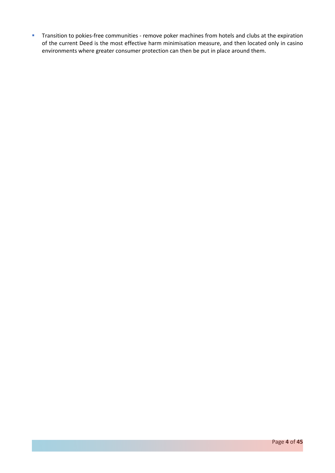**Transition to pokies-free communities - remove poker machines from hotels and clubs at the expiration** of the current Deed is the most effective harm minimisation measure, and then located only in casino environments where greater consumer protection can then be put in place around them.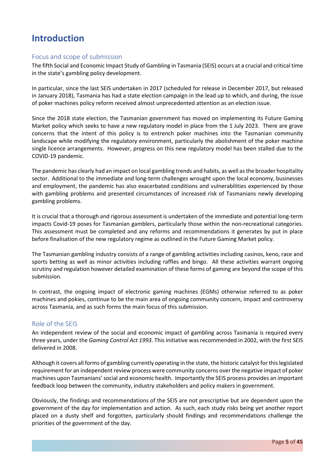# <span id="page-4-0"></span>**Introduction**

### <span id="page-4-1"></span>Focus and scope of submission

The fifth Social and Economic Impact Study of Gambling in Tasmania (SEIS) occurs at a crucial and critical time in the state's gambling policy development.

In particular, since the last SEIS undertaken in 2017 (scheduled for release in December 2017, but released in January 2018), Tasmania has had a state election campaign in the lead up to which, and during, the issue of poker machines policy reform received almost unprecedented attention as an election issue.

Since the 2018 state election, the Tasmanian government has moved on implementing its Future Gaming Market policy which seeks to have a new regulatory model in place from the 1 July 2023. There are grave concerns that the intent of this policy is to entrench poker machines into the Tasmanian community landscape while modifying the regulatory environment, particularly the abolishment of the poker machine single licence arrangements. However, progress on this new regulatory model has been stalled due to the COVID-19 pandemic.

The pandemic has clearly had an impact on local gambling trends and habits, as well as the broader hospitality sector. Additional to the immediate and long-term challenges wrought upon the local economy, businesses and employment, the pandemic has also exacerbated conditions and vulnerabilities experienced by those with gambling problems and presented circumstances of increased risk of Tasmanians newly developing gambling problems.

It is crucial that a thorough and rigorous assessment is undertaken of the immediate and potential long-term impacts Covid-19 poses for Tasmanian gamblers, particularly those within the non-recreational categories. This assessment must be completed and any reforms and recommendations it generates by put in place before finalisation of the new regulatory regime as outlined in the Future Gaming Market policy.

The Tasmanian gambling industry consists of a range of gambling activities including casinos, keno, race and sports betting as well as minor activities including raffles and bingo. All these activities warrant ongoing scrutiny and regulation however detailed examination of these forms of gaming are beyond the scope of this submission.

In contrast, the ongoing impact of electronic gaming machines (EGMs) otherwise referred to as poker machines and pokies, continue to be the main area of ongoing community concern, impact and controversy across Tasmania, and as such forms the main focus of this submission.

### <span id="page-4-2"></span>Role of the SEIS

An independent review of the social and economic impact of gambling across Tasmania is required every three years, under the *Gaming Control Act 1993*. This initiative was recommended in 2002, with the first SEIS delivered in 2008.

Although it covers all forms of gambling currently operating in the state, the historic catalyst for this legislated requirement for an independent review process were community concerns over the negative impact of poker machines upon Tasmanians' social and economic health. Importantly the SEIS process provides an important feedback loop between the community, industry stakeholders and policy makers in government.

Obviously, the findings and recommendations of the SEIS are not prescriptive but are dependent upon the government of the day for implementation and action. As such, each study risks being yet another report placed on a dusty shelf and forgotten, particularly should findings and recommendations challenge the priorities of the government of the day.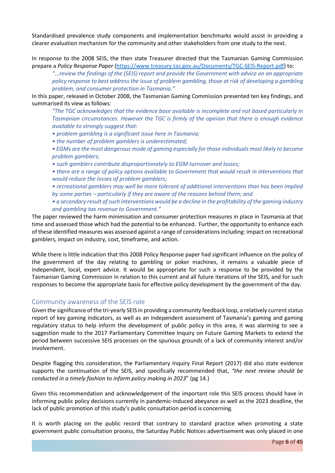Standardised prevalence study components and implementation benchmarks would assist in providing a clearer evaluation mechanism for the community and other stakeholders from one study to the next.

In response to the 2008 SEIS, the then state Treasurer directed that the Tasmanian Gaming Commission prepare a *Policy Response Paper* [\(https://www.treasury.tas.gov.au/Documents/TGC-SEIS-Report.pdf\)](https://www.treasury.tas.gov.au/Documents/TGC-SEIS-Report.pdf) to:

*"...review the findings of the (SEIS) report and provide the Government with advice on an appropriate policy response to best address the issue of problem gambling, those at risk of developing a gambling problem, and consumer protection in Tasmania."* 

In this paper, released in October 2008, the Tasmanian Gaming Commission presented ten key findings, and summarised its view as follows:

*"The TGC acknowledges that the evidence base available is incomplete and not based particularly in Tasmanian circumstances. However the TGC is firmly of the opinion that there is enough evidence available to strongly suggest that:* 

- *problem gambling is a significant issue here in Tasmania;*
- *the number of problem gamblers is underestimated;*
- *EGMs are the most dangerous mode of gaming especially for those individuals most likely to become problem gamblers;*
- *such gamblers contribute disproportionately to EGM turnover and losses;*
- *there are a range of policy options available to Government that would result in interventions that would reduce the losses of problem gamblers;*
- *recreational gamblers may well be more tolerant of additional interventions than has been implied by some parties – particularly if they are aware of the reasons behind them; and*
- a secondary result of such interventions would be a decline in the profitability of the gaming industry *and gambling tax revenue to Government."*

The paper reviewed the harm minimisation and consumer protection measures in place in Tasmania at that time and assessed those which had the potential to be enhanced. Further, the opportunity to enhance each of these identified measures was assessed against a range of considerations including: impact on recreational gamblers, impact on industry, cost, timeframe, and action.

While there is little indication that this 2008 Policy Response paper had significant influence on the policy of the government of the day relating to gambling or poker machines, it remains a valuable piece of independent, local, expert advice. It would be appropriate for such a response to be provided by the Tasmanian Gaming Commission in relation to this current and all future iterations of the SEIS, and for such responses to become the appropriate basis for effective policy development by the government of the day.

#### <span id="page-5-0"></span>Community awareness of the SEIS role

Given the significance of the tri-yearly SEIS in providing a community feedback loop, a relatively current status report of key gaming indicators, as well as an independent assessment of Tasmania's gaming and gaming regulatory status to help inform the development of public policy in this area, it was alarming to see a suggestion made to the 2017 Parliamentary Committee Inquiry on Future Gaming Markets to extend the period between successive SEIS processes on the spurious grounds of a lack of community interest and/or involvement.

Despite flagging this consideration, the Parliamentary Inquiry Final Report (2017) did also state evidence supports the continuation of the SEIS, and specifically recommended that, *"the next review should be conducted in a timely fashion to inform policy making in 2023*" (pg 14.)

Given this recommendation and acknowledgement of the important role this SEIS process should have in informing public policy decisions currently in pandemic-induced abeyance as well as the 2023 deadline, the lack of public promotion of this study's public consultation period is concerning.

It is worth placing on the public record that contrary to standard practice when promoting a state government public consultation process, the Saturday Public Notices advertisement was only placed in one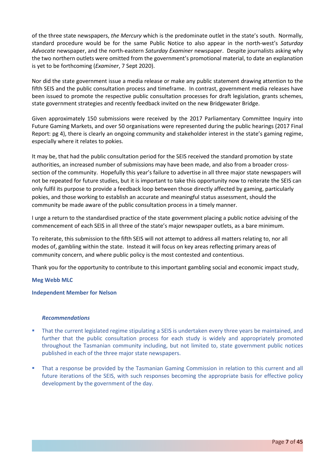of the three state newspapers, *the Mercury* which is the predominate outlet in the state's south. Normally, standard procedure would be for the same Public Notice to also appear in the north-west's *Saturday Advocate* newspaper, and the north-eastern *Saturday Examiner* newspaper. Despite journalists asking why the two northern outlets were omitted from the government's promotional material, to date an explanation is yet to be forthcoming (*Examiner*, 7 Sept 2020).

Nor did the state government issue a media release or make any public statement drawing attention to the fifth SEIS and the public consultation process and timeframe. In contrast, government media releases have been issued to promote the respective public consultation processes for draft legislation, grants schemes, state government strategies and recently feedback invited on the new Bridgewater Bridge.

Given approximately 150 submissions were received by the 2017 Parliamentary Committee Inquiry into Future Gaming Markets, and over 50 organisations were represented during the public hearings (2017 Final Report: pg 4), there is clearly an ongoing community and stakeholder interest in the state's gaming regime, especially where it relates to pokies.

It may be, that had the public consultation period for the SEIS received the standard promotion by state authorities, an increased number of submissions may have been made, and also from a broader crosssection of the community. Hopefully this year's failure to advertise in all three major state newspapers will not be repeated for future studies, but it is important to take this opportunity now to reiterate the SEIS can only fulfil its purpose to provide a feedback loop between those directly affected by gaming, particularly pokies, and those working to establish an accurate and meaningful status assessment, should the community be made aware of the public consultation process in a timely manner.

I urge a return to the standardised practice of the state government placing a public notice advising of the commencement of each SEIS in all three of the state's major newspaper outlets, as a bare minimum.

To reiterate, this submission to the fifth SEIS will not attempt to address all matters relating to, nor all modes of, gambling within the state. Instead it will focus on key areas reflecting primary areas of community concern, and where public policy is the most contested and contentious.

Thank you for the opportunity to contribute to this important gambling social and economic impact study,

#### **Meg Webb MLC**

#### **Independent Member for Nelson**

#### *Recommendations*

- **That the current legislated regime stipulating a SEIS is undertaken every three years be maintained, and** further that the public consultation process for each study is widely and appropriately promoted throughout the Tasmanian community including, but not limited to, state government public notices published in each of the three major state newspapers.
- That a response be provided by the Tasmanian Gaming Commission in relation to this current and all future iterations of the SEIS, with such responses becoming the appropriate basis for effective policy development by the government of the day.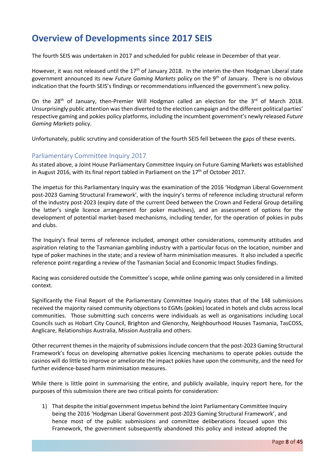# <span id="page-7-0"></span>**Overview of Developments since 2017 SEIS**

The fourth SEIS was undertaken in 2017 and scheduled for public release in December of that year.

However, it was not released until the 17<sup>th</sup> of January 2018. In the interim the-then Hodgman Liberal state government announced its new *Future Gaming Markets* policy on the 9th of January. There is no obvious indication that the fourth SEIS's findings or recommendations influenced the government's new policy.

On the 28<sup>th</sup> of January, then-Premier Will Hodgman called an election for the 3<sup>rd</sup> of March 2018. Unsurprisingly public attention was then diverted to the election campaign and the different political parties' respective gaming and pokies policy platforms, including the incumbent government's newly released *Future Gaming Markets* policy.

Unfortunately, public scrutiny and consideration of the fourth SEIS fell between the gaps of these events.

### <span id="page-7-1"></span>Parliamentary Committee Inquiry 2017

As stated above, a Joint House Parliamentary Committee Inquiry on Future Gaming Markets was established in August 2016, with its final report tabled in Parliament on the  $17<sup>th</sup>$  of October 2017.

The impetus for this Parliamentary Inquiry was the examination of the 2016 'Hodgman Liberal Government post-2023 Gaming Structural Framework', with the inquiry's terms of reference including structural reform of the industry post-2023 (expiry date of the current Deed between the Crown and Federal Group detailing the latter's single licence arrangement for poker machines), and an assessment of options for the development of potential market-based mechanisms, including tender, for the operation of pokies in pubs and clubs.

The Inquiry's final terms of reference included, amongst other considerations, community attitudes and aspiration relating to the Tasmanian gambling industry with a particular focus on the location, number and type of poker machines in the state; and a review of harm minimisation measures. It also included a specific reference point regarding a review of the Tasmanian Social and Economic Impact Studies findings.

Racing was considered outside the Committee's scope, while online gaming was only considered in a limited context.

Significantly the Final Report of the Parliamentary Committee Inquiry states that of the 148 submissions received the majority raised community objections to EGMs (pokies) located in hotels and clubs across local communities. Those submitting such concerns were individuals as well as organisations including Local Councils such as Hobart City Council, Brighton and Glenorchy, Neighbourhood Houses Tasmania, TasCOSS, Anglicare, Relationships Australia, Mission Australia and others.

Other recurrent themes in the majority of submissions include concern that the post-2023 Gaming Structural Framework's focus on developing alternative pokies licencing mechanisms to operate pokies outside the casinos will do little to improve or ameliorate the impact pokies have upon the community, and the need for further evidence-based harm minimisation measures.

While there is little point in summarising the entire, and publicly available, inquiry report here, for the purposes of this submission there are two critical points for consideration:

1) That despite the initial government impetus behind the Joint Parliamentary Committee Inquiry being the 2016 'Hodgman Liberal Government post-2023 Gaming Structural Framework', and hence most of the public submissions and committee deliberations focused upon this Framework, the government subsequently abandoned this policy and instead adopted the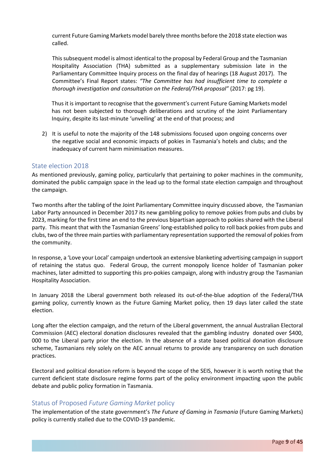current Future Gaming Markets model barely three months before the 2018 state election was called.

This subsequent model is almost identical to the proposal by Federal Group and the Tasmanian Hospitality Association (THA) submitted as a supplementary submission late in the Parliamentary Committee Inquiry process on the final day of hearings (18 August 2017). The Committee's Final Report states: *"The Committee has had insufficient time to complete a thorough investigation and consultation on the Federal/THA proposal"* (2017: pg 19).

Thus it is important to recognise that the government's current Future Gaming Markets model has not been subjected to thorough deliberations and scrutiny of the Joint Parliamentary Inquiry, despite its last-minute 'unveiling' at the end of that process; and

2) It is useful to note the majority of the 148 submissions focused upon ongoing concerns over the negative social and economic impacts of pokies in Tasmania's hotels and clubs; and the inadequacy of current harm minimisation measures.

### <span id="page-8-0"></span>State election 2018

As mentioned previously, gaming policy, particularly that pertaining to poker machines in the community, dominated the public campaign space in the lead up to the formal state election campaign and throughout the campaign.

Two months after the tabling of the Joint Parliamentary Committee inquiry discussed above, the Tasmanian Labor Party announced in December 2017 its new gambling policy to remove pokies from pubs and clubs by 2023, marking for the first time an end to the previous bipartisan approach to pokies shared with the Liberal party. This meant that with the Tasmanian Greens' long-established policy to roll back pokies from pubs and clubs, two of the three main parties with parliamentary representation supported the removal of pokies from the community.

In response, a 'Love your Local' campaign undertook an extensive blanketing advertising campaign in support of retaining the status quo. Federal Group, the current monopoly licence holder of Tasmanian poker machines, later admitted to supporting this pro-pokies campaign, along with industry group the Tasmanian Hospitality Association.

In January 2018 the Liberal government both released its out-of-the-blue adoption of the Federal/THA gaming policy, currently known as the Future Gaming Market policy, then 19 days later called the state election.

Long after the election campaign, and the return of the Liberal government, the annual Australian Electoral Commission (AEC) electoral donation disclosures revealed that the gambling industry donated over \$400, 000 to the Liberal party prior the election. In the absence of a state based political donation disclosure scheme, Tasmanians rely solely on the AEC annual returns to provide any transparency on such donation practices.

Electoral and political donation reform is beyond the scope of the SEIS, however it is worth noting that the current deficient state disclosure regime forms part of the policy environment impacting upon the public debate and public policy formation in Tasmania.

### <span id="page-8-1"></span>Status of Proposed *Future Gaming Market* policy

The implementation of the state government's *The Future of Gaming in Tasmania* (Future Gaming Markets) policy is currently stalled due to the COVID-19 pandemic.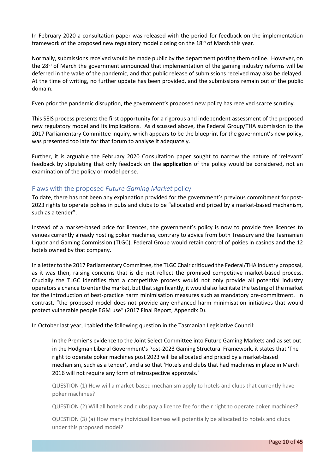In February 2020 a consultation paper was released with the period for feedback on the implementation framework of the proposed new regulatory model closing on the  $18<sup>th</sup>$  of March this year.

Normally, submissions received would be made public by the department posting them online. However, on the 28th of March the government announced that implementation of the gaming industry reforms will be deferred in the wake of the pandemic, and that public release of submissions received may also be delayed. At the time of writing, no further update has been provided, and the submissions remain out of the public domain.

Even prior the pandemic disruption, the government's proposed new policy has received scarce scrutiny.

This SEIS process presents the first opportunity for a rigorous and independent assessment of the proposed new regulatory model and its implications. As discussed above, the Federal Group/THA submission to the 2017 Parliamentary Committee inquiry, which appears to be the blueprint for the government's new policy, was presented too late for that forum to analyse it adequately.

Further, it is arguable the February 2020 Consultation paper sought to narrow the nature of 'relevant' feedback by stipulating that only feedback on the **application** of the policy would be considered, not an examination of the policy or model per se.

### <span id="page-9-0"></span>Flaws with the proposed *Future Gaming Market* policy

To date, there has not been any explanation provided for the government's previous commitment for post-2023 rights to operate pokies in pubs and clubs to be "allocated and priced by a market-based mechanism, such as a tender".

Instead of a market-based price for licences, the government's policy is now to provide free licences to venues currently already hosting poker machines, contrary to advice from both Treasury and the Tasmanian Liquor and Gaming Commission (TLGC). Federal Group would retain control of pokies in casinos and the 12 hotels owned by that company.

In a letter to the 2017 Parliamentary Committee, the TLGC Chair critiqued the Federal/THA industry proposal, as it was then, raising concerns that is did not reflect the promised competitive market-based process. Crucially the TLGC identifies that a competitive process would not only provide all potential industry operators a chance to enter the market, but that significantly, it would also facilitate the testing of the market for the introduction of best-practice harm minimisation measures such as mandatory pre-commitment. In contrast, "the proposed model does not provide any enhanced harm minimisation initiatives that would protect vulnerable people EGM use" (2017 Final Report, Appendix D).

In October last year, I tabled the following question in the Tasmanian Legislative Council:

In the Premier's evidence to the Joint Select Committee into Future Gaming Markets and as set out in the Hodgman Liberal Government's Post-2023 Gaming Structural Framework, it states that 'The right to operate poker machines post 2023 will be allocated and priced by a market-based mechanism, such as a tender', and also that 'Hotels and clubs that had machines in place in March 2016 will not require any form of retrospective approvals.'

QUESTION (1) How will a market-based mechanism apply to hotels and clubs that currently have poker machines?

QUESTION (2) Will all hotels and clubs pay a licence fee for their right to operate poker machines?

QUESTION (3) (a) How many individual licenses will potentially be allocated to hotels and clubs under this proposed model?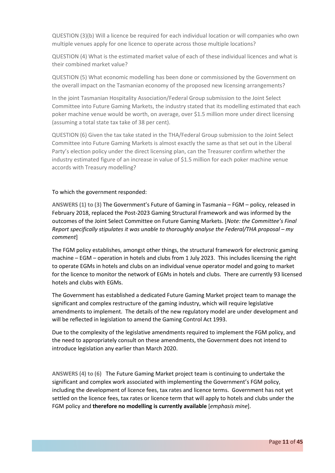QUESTION (3)(b) Will a licence be required for each individual location or will companies who own multiple venues apply for one licence to operate across those multiple locations?

QUESTION (4) What is the estimated market value of each of these individual licences and what is their combined market value?

QUESTION (5) What economic modelling has been done or commissioned by the Government on the overall impact on the Tasmanian economy of the proposed new licensing arrangements?

In the joint Tasmanian Hospitality Association/Federal Group submission to the Joint Select Committee into Future Gaming Markets, the industry stated that its modelling estimated that each poker machine venue would be worth, on average, over \$1.5 million more under direct licensing (assuming a total state tax take of 38 per cent).

QUESTION (6) Given the tax take stated in the THA/Federal Group submission to the Joint Select Committee into Future Gaming Markets is almost exactly the same as that set out in the Liberal Party's election policy under the direct licensing plan, can the Treasurer confirm whether the industry estimated figure of an increase in value of \$1.5 million for each poker machine venue accords with Treasury modelling?

#### To which the government responded:

**ANSWERS (1) to (3)** The Government's Future of Gaming in Tasmania – FGM – policy, released in February 2018, replaced the Post-2023 Gaming Structural Framework and was informed by the outcomes of the Joint Select Committee on Future Gaming Markets. [*Note: the Committee's Final Report specifically stipulates it was unable to thoroughly analyse the Federal/THA proposal – my comment*]

The FGM policy establishes, amongst other things, the structural framework for electronic gaming machine – EGM – operation in hotels and clubs from 1 July 2023. This includes licensing the right to operate EGMs in hotels and clubs on an individual venue operator model and going to market for the licence to monitor the network of EGMs in hotels and clubs. There are currently 93 licensed hotels and clubs with EGMs.

The Government has established a dedicated Future Gaming Market project team to manage the significant and complex restructure of the gaming industry, which will require legislative amendments to implement. The details of the new regulatory model are under development and will be reflected in legislation to amend the Gaming Control Act 1993.

Due to the complexity of the legislative amendments required to implement the FGM policy, and the need to appropriately consult on these amendments, the Government does not intend to introduce legislation any earlier than March 2020.

**ANSWERS (4) to (6)** The Future Gaming Market project team is continuing to undertake the significant and complex work associated with implementing the Government's FGM policy, including the development of licence fees, tax rates and licence terms. Government has not yet settled on the licence fees, tax rates or licence term that will apply to hotels and clubs under the FGM policy and **therefore no modelling is currently available** [*emphasis mine*].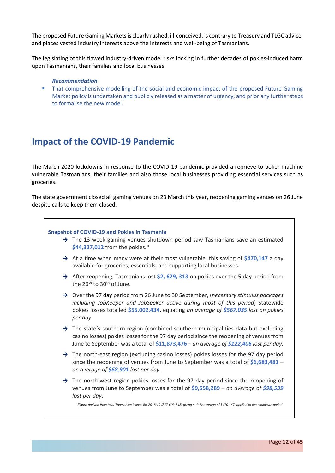The proposed Future Gaming Markets is clearly rushed, ill-conceived, is contrary to Treasury and TLGC advice, and places vested industry interests above the interests and well-being of Tasmanians.

The legislating of this flawed industry-driven model risks locking in further decades of pokies-induced harm upon Tasmanians, their families and local businesses.

#### *Recommendation*

**That comprehensive modelling of the social and economic impact of the proposed Future Gaming** Market policy is undertaken and publicly released as a matter of urgency, and prior any further steps to formalise the new model.

# <span id="page-11-0"></span>**Impact of the COVID-19 Pandemic**

The March 2020 lockdowns in response to the COVID-19 pandemic provided a reprieve to poker machine vulnerable Tasmanians, their families and also those local businesses providing essential services such as groceries.

The state government closed all gaming venues on 23 March this year, reopening gaming venues on 26 June despite calls to keep them closed.

#### **Snapshot of COVID-19 and Pokies in Tasmania**

- → The 13-week gaming venues shutdown period saw Tasmanians save an estimated **\$44,327,012** from the pokies.\*
- **→** At a time when many were at their most vulnerable, this saving of **\$470,147** a day available for groceries, essentials, and supporting local businesses.
- **→** After reopening, Tasmanians lost **\$2, 629, 313** on pokies over the 5 day period from the  $26<sup>th</sup>$  to  $30<sup>th</sup>$  of June.
- **→** Over the 97 day period from 26 June to 30 September, (*necessary stimulus packages including JobKeeper and JobSeeker active during most of this period*) statewide pokies losses totalled **\$55,002,434**, equating *an average of \$567,035 lost on pokies per day*.
- → The state's southern region (combined southern municipalities data but excluding casino losses) pokies losses for the 97 day period since the reopening of venues from June to September was a total of **\$11,873,476** – *an average of \$122,406 lost per day*.
- → The north-east region (excluding casino losses) pokies losses for the 97 day period since the reopening of venues from June to September was a total of **\$6,683,481** – *an average of \$68,901 lost per day*.
- **→** The north-west region pokies losses for the 97 day period since the reopening of venues from June to September was a total of **\$9,558,289** – *an average of \$98,539 lost per day*.

*\*Figure derived from total Tasmanian losses for 2018/19 (\$17,603,745) giving a daily average of \$470,147, applied to the shutdown period.*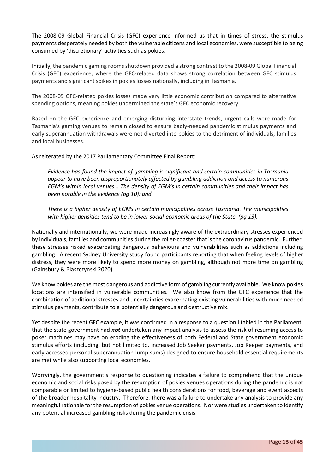The 2008-09 Global Financial Crisis (GFC) experience informed us that in times of stress, the stimulus payments desperately needed by both the vulnerable citizens and local economies, were susceptible to being consumed by 'discretionary' activities such as pokies.

Initially, the pandemic gaming rooms shutdown provided a strong contrast to the 2008-09 Global Financial Crisis (GFC) experience, where the GFC-related data shows strong correlation between GFC stimulus payments and significant spikes in pokies losses nationally, including in Tasmania.

The 2008-09 GFC-related pokies losses made very little economic contribution compared to alternative spending options, meaning pokies undermined the state's GFC economic recovery.

Based on the GFC experience and emerging disturbing interstate trends, urgent calls were made for Tasmania's gaming venues to remain closed to ensure badly-needed pandemic stimulus payments and early superannuation withdrawals were not diverted into pokies to the detriment of individuals, families and local businesses.

As reiterated by the 2017 Parliamentary Committee Final Report:

*Evidence has found the impact of gambling is significant and certain communities in Tasmania appear to have been disproportionately affected by gambling addiction and access to numerous EGM's within local venues… The density of EGM's in certain communities and their impact has been notable in the evidence (pg 10); and*

*There is a higher density of EGMs in certain municipalities across Tasmania. The municipalities with higher densities tend to be in lower social-economic areas of the State. (pg 13).*

Nationally and internationally, we were made increasingly aware of the extraordinary stresses experienced by individuals, families and communities during the roller-coaster that is the coronavirus pandemic. Further, these stresses risked exacerbating dangerous behaviours and vulnerabilities such as addictions including gambling. A recent Sydney University study found participants reporting that when feeling levels of higher distress, they were more likely to spend more money on gambling, although not more time on gambling (Gainsbury & Blaszczynski 2020).

We know pokies are the most dangerous and addictive form of gambling currently available. We know pokies locations are intensified in vulnerable communities. We also know from the GFC experience that the combination of additional stresses and uncertainties exacerbating existing vulnerabilities with much needed stimulus payments, contribute to a potentially dangerous and destructive mix.

Yet despite the recent GFC example, it was confirmed in a response to a question I tabled in the Parliament, that the state government had *not* undertaken any impact analysis to assess the risk of resuming access to poker machines may have on eroding the effectiveness of both Federal and State government economic stimulus efforts (including, but not limited to, increased Job Seeker payments, Job Keeper payments, and early accessed personal superannuation lump sums) designed to ensure household essential requirements are met while also supporting local economies.

Worryingly, the government's response to questioning indicates a failure to comprehend that the unique economic and social risks posed by the resumption of pokies venues operations during the pandemic is not comparable or limited to hygiene-based public health considerations for food, beverage and event aspects of the broader hospitality industry. Therefore, there was a failure to undertake any analysis to provide any meaningful rationale for the resumption of pokies venue operations. Nor were studies undertaken to identify any potential increased gambling risks during the pandemic crisis.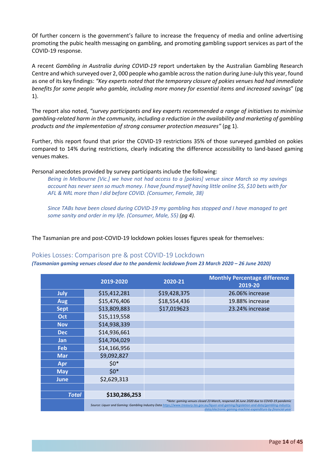Of further concern is the government's failure to increase the frequency of media and online advertising promoting the pubic health messaging on gambling, and promoting gambling support services as part of the COVID-19 response.

A recent *Gambling in Australia during COVID-19* report undertaken by the Australian Gambling Research Centre and which surveyed over 2, 000 people who gamble across the nation during June-July this year, found as one of its key findings: *"Key experts noted that the temporary closure of pokies venues had had immediate benefits for some people who gamble, including more money for essential items and increased savings*" (pg 1).

The report also noted, *"survey participants and key experts recommended a range of initiatives to minimise gambling-related harm in the community, including a reduction in the availability and marketing of gambling products and the implementation of strong consumer protection measures"* (pg 1).

Further, this report found that prior the COVID-19 restrictions 35% of those surveyed gambled on pokies compared to 14% during restrictions, clearly indicating the difference accessibility to land-based gaming venues makes.

Personal anecdotes provided by survey participants include the following:

*Being in Melbourne [Vic.] we have not had access to a [pokies] venue since March so my savings account has never seen so much money. I have found myself having little online \$5, \$10 bets with for AFL & NRL more than I did before COVID. (Consumer, Female, 38)* 

*Since TABs have been closed during COVID-19 my gambling has stopped and I have managed to get some sanity and order in my life. (Consumer, Male, 55) (pg 4).*

The Tasmanian pre and post-COVID-19 lockdown pokies losses figures speak for themselves:

#### <span id="page-13-0"></span>Pokies Losses: Comparison pre & post COVID-19 Lockdown

*(Tasmanian gaming venues closed due to the pandemic lockdown from 23 March 2020 – 26 June 2020)*

|              | 2019-2020     | 2020-21      | <b>Monthly Percentage difference</b><br>2019-20                                                                                                                                                                                                                                                     |
|--------------|---------------|--------------|-----------------------------------------------------------------------------------------------------------------------------------------------------------------------------------------------------------------------------------------------------------------------------------------------------|
| July         | \$15,412,281  | \$19,428,375 | 26.06% increase                                                                                                                                                                                                                                                                                     |
| <b>Aug</b>   | \$15,476,406  | \$18,554,436 | 19.88% increase                                                                                                                                                                                                                                                                                     |
| <b>Sept</b>  | \$13,809,883  | \$17,019623  | 23.24% increase                                                                                                                                                                                                                                                                                     |
| Oct          | \$15,119,558  |              |                                                                                                                                                                                                                                                                                                     |
| <b>Nov</b>   | \$14,938,339  |              |                                                                                                                                                                                                                                                                                                     |
| <b>Dec</b>   | \$14,936,661  |              |                                                                                                                                                                                                                                                                                                     |
| Jan          | \$14,704,029  |              |                                                                                                                                                                                                                                                                                                     |
| Feb          | \$14,166,956  |              |                                                                                                                                                                                                                                                                                                     |
| <b>Mar</b>   | \$9,092,827   |              |                                                                                                                                                                                                                                                                                                     |
| Apr          | $$0*$         |              |                                                                                                                                                                                                                                                                                                     |
| <b>May</b>   | $$0*$         |              |                                                                                                                                                                                                                                                                                                     |
| <b>June</b>  | \$2,629,313   |              |                                                                                                                                                                                                                                                                                                     |
|              |               |              |                                                                                                                                                                                                                                                                                                     |
| <b>Total</b> | \$130,286,253 |              |                                                                                                                                                                                                                                                                                                     |
|              |               |              | *Note: gaming venues closed 23 March, reopened 26 June 2020 due to COVID-19 pandemic<br>Source: Liquor and Gaming: Gambling Industry Data https://www.treasury.tas.gov.au/liquor-and-gaming/legislation-and-data/gambling-industry-<br>data/electronic-gaming-machine-expenditure-by-financial-year |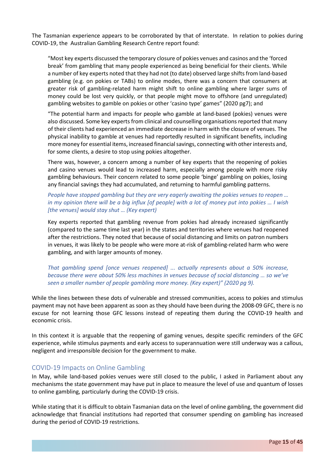The Tasmanian experience appears to be corroborated by that of interstate. In relation to pokies during COVID-19, the Australian Gambling Research Centre report found:

"Most key experts discussed the temporary closure of pokies venues and casinos and the 'forced break' from gambling that many people experienced as being beneficial for their clients. While a number of key experts noted that they had not (to date) observed large shifts from land-based gambling (e.g. on pokies or TABs) to online modes, there was a concern that consumers at greater risk of gambling-related harm might shift to online gambling where larger sums of money could be lost very quickly, or that people might move to offshore (and unregulated) gambling websites to gamble on pokies or other 'casino type' games" (2020 pg7); and

"The potential harm and impacts for people who gamble at land-based (pokies) venues were also discussed. Some key experts from clinical and counselling organisations reported that many of their clients had experienced an immediate decrease in harm with the closure of venues. The physical inability to gamble at venues had reportedly resulted in significant benefits, including more money for essential items, increased financial savings, connecting with other interests and, for some clients, a desire to stop using pokies altogether.

There was, however, a concern among a number of key experts that the reopening of pokies and casino venues would lead to increased harm, especially among people with more risky gambling behaviours. Their concern related to some people 'binge' gambling on pokies, losing any financial savings they had accumulated, and returning to harmful gambling patterns.

### *People have stopped gambling but they are very eagerly awaiting the pokies venues to reopen … in my opinion there will be a big influx [of people] with a lot of money put into pokies … I wish [the venues] would stay shut … (Key expert)*

Key experts reported that gambling revenue from pokies had already increased significantly (compared to the same time last year) in the states and territories where venues had reopened after the restrictions. They noted that because of social distancing and limits on patron numbers in venues, it was likely to be people who were more at-risk of gambling-related harm who were gambling, and with larger amounts of money.

*That gambling spend [once venues reopened] ... actually represents about a 50% increase, because there were about 50% less machines in venues because of social distancing … so we've seen a smaller number of people gambling more money. (Key expert)" (2020 pg 9).*

While the lines between these dots of vulnerable and stressed communities, access to pokies and stimulus payment may not have been apparent as soon as they should have been during the 2008-09 GFC, there is no excuse for not learning those GFC lessons instead of repeating them during the COVID-19 health and economic crisis.

In this context it is arguable that the reopening of gaming venues, despite specific reminders of the GFC experience, while stimulus payments and early access to superannuation were still underway was a callous, negligent and irresponsible decision for the government to make.

### <span id="page-14-0"></span>COVID-19 Impacts on Online Gambling

In May, while land-based pokies venues were still closed to the public, I asked in Parliament about any mechanisms the state government may have put in place to measure the level of use and quantum of losses to online gambling, particularly during the COVID-19 crisis.

While stating that it is difficult to obtain Tasmanian data on the level of online gambling, the government did acknowledge that financial institutions had reported that consumer spending on gambling has increased during the period of COVID-19 restrictions.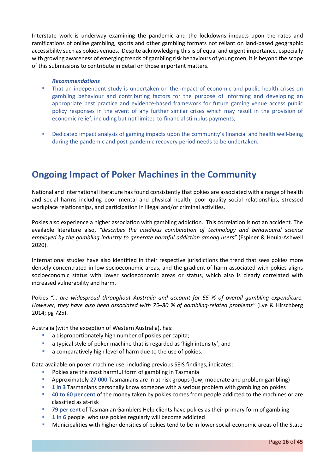Interstate work is underway examining the pandemic and the lockdowns impacts upon the rates and ramifications of online gambling, sports and other gambling formats not reliant on land-based geographic accessibility such as pokies venues. Despite acknowledging this is of equal and urgent importance, especially with growing awareness of emerging trends of gambling risk behaviours of young men, it is beyond the scope of this submissions to contribute in detail on those important matters.

#### *Recommendations*

- That an independent study is undertaken on the impact of economic and public health crises on gambling behaviour and contributing factors for the purpose of informing and developing an appropriate best practice and evidence-based framework for future gaming venue access public policy responses in the event of any further similar crises which may result in the provision of economic relief, including but not limited to financial stimulus payments;
- Dedicated impact analysis of gaming impacts upon the community's financial and health well-being during the pandemic and post-pandemic recovery period needs to be undertaken.

# <span id="page-15-0"></span>**Ongoing Impact of Poker Machines in the Community**

National and international literature has found consistently that pokies are associated with a range of health and social harms including poor mental and physical health, poor quality social relationships, stressed workplace relationships, and participation in illegal and/or criminal activities.

Pokies also experience a higher association with gambling addiction. This correlation is not an accident. The available literature also, *"describes the insidious combination of technology and behavioural science employed by the gambling industry to generate harmful addiction among users"* (Espiner & Houia-Ashwell 2020).

International studies have also identified in their respective jurisdictions the trend that sees pokies more densely concentrated in low socioeconomic areas, and the gradient of harm associated with pokies aligns socioeconomic status with lower socioeconomic areas or status, which also is clearly correlated with increased vulnerability and harm.

Pokies *"… are widespread throughout Australia and account for 65 % of overall gambling expenditure. However, they have also been associated with 75–80 % of gambling-related problems"* (Lye & Hirschberg 2014; pg 725).

Australia (with the exception of Western Australia), has:

- a disproportionately high number of pokies per capita;
- **a** a typical style of poker machine that is regarded as 'high intensity'; and
- a comparatively high level of harm due to the use of pokies.

Data available on poker machine use, including previous SEIS findings, indicates:

- Pokies are the most harmful form of gambling in Tasmania
- Approximately **27 000** Tasmanians are in at-risk groups (low, moderate and problem gambling)
- **1 in 3** Tasmanians personally know someone with a serious problem with gambling on pokies
- **40 to 60 per cent** of the money taken by pokies comes from people addicted to the machines or are classified as at-risk
- **79 per cent** of Tasmanian Gamblers Help clients have pokies as their primary form of gambling
- **1 in 6** people who use pokies regularly will become addicted
- Municipalities with higher densities of pokies tend to be in lower social-economic areas of the State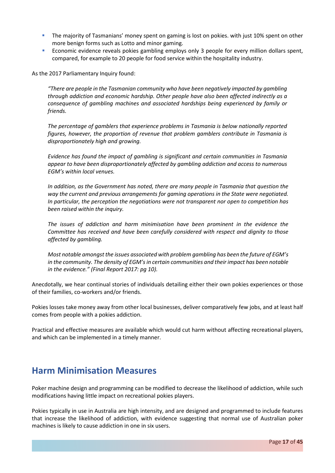- **The majority of Tasmanians' money spent on gaming is lost on pokies. with just 10% spent on other** more benign forms such as Lotto and minor gaming.
- **Economic evidence reveals pokies gambling employs only 3 people for every million dollars spent,** compared, for example to 20 people for food service within the hospitality industry.

As the 2017 Parliamentary Inquiry found:

*"There are people in the Tasmanian community who have been negatively impacted by gambling through addiction and economic hardship. Other people have also been affected indirectly as a consequence of gambling machines and associated hardships being experienced by family or friends.* 

*The percentage of gamblers that experience problems in Tasmania is below nationally reported figures, however, the proportion of revenue that problem gamblers contribute in Tasmania is disproportionately high and growing.* 

*Evidence has found the impact of gambling is significant and certain communities in Tasmania appear to have been disproportionately affected by gambling addiction and access to numerous EGM's within local venues.* 

*In addition, as the Government has noted, there are many people in Tasmania that question the way the current and previous arrangements for gaming operations in the State were negotiated. In particular, the perception the negotiations were not transparent nor open to competition has been raised within the inquiry.* 

*The issues of addiction and harm minimisation have been prominent in the evidence the Committee has received and have been carefully considered with respect and dignity to those affected by gambling.* 

*Most notable amongst the issues associated with problem gambling has been the future of EGM's in the community. The density of EGM's in certain communities and their impact has been notable in the evidence." (Final Report 2017: pg 10).*

Anecdotally, we hear continual stories of individuals detailing either their own pokies experiences or those of their families, co-workers and/or friends.

Pokies losses take money away from other local businesses, deliver comparatively few jobs, and at least half comes from people with a pokies addiction.

Practical and effective measures are available which would cut harm without affecting recreational players, and which can be implemented in a timely manner.

# <span id="page-16-0"></span>**Harm Minimisation Measures**

Poker machine design and programming can be modified to decrease the likelihood of addiction, while such modifications having little impact on recreational pokies players.

Pokies typically in use in Australia are high intensity, and are designed and programmed to include features that increase the likelihood of addiction, with evidence suggesting that normal use of Australian poker machines is likely to cause addiction in one in six users.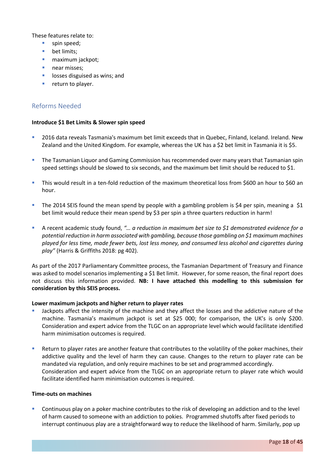These features relate to:

- spin speed;
- **bet limits;**
- **maximum jackpot;**
- near misses:
- **IDOSSES disguised as wins; and**
- **return to player.**

# <span id="page-17-0"></span>Reforms Needed

### **Introduce \$1 Bet Limits & Slower spin speed**

- 2016 data reveals Tasmania's maximum bet limit exceeds that in Quebec, Finland, Iceland. Ireland. New Zealand and the United Kingdom. For example, whereas the UK has a \$2 bet limit in Tasmania it is \$5.
- **The Tasmanian Liquor and Gaming Commission has recommended over many years that Tasmanian spin** speed settings should be slowed to six seconds, and the maximum bet limit should be reduced to \$1.
- This would result in a ten-fold reduction of the maximum theoretical loss from \$600 an hour to \$60 an hour.
- The 2014 SEIS found the mean spend by people with a gambling problem is \$4 per spin, meaning a \$1 bet limit would reduce their mean spend by \$3 per spin a three quarters reduction in harm!
- A recent academic study found, *"… a reduction in maximum bet size to \$1 demonstrated evidence for a potential reduction in harm associated with gambling, because those gambling on \$1 maximum machines played for less time, made fewer bets, lost less money, and consumed less alcohol and cigarettes during play"* (Harris & Griffiths 2018: pg 402).

As part of the 2017 Parliamentary Committee process, the Tasmanian Department of Treasury and Finance was asked to model scenarios implementing a \$1 Bet limit. However, for some reason, the final report does not discuss this information provided. **NB: I have attached this modelling to this submission for consideration by this SEIS process.**

#### **Lower maximum jackpots and higher return to player rates**

- Jackpots affect the intensity of the machine and they affect the losses and the addictive nature of the machine. Tasmania's maximum jackpot is set at \$25 000; for comparison, the UK's is only \$200. Consideration and expert advice from the TLGC on an appropriate level which would facilitate identified harm minimisation outcomes is required.
- Return to player rates are another feature that contributes to the volatility of the poker machines, their addictive quality and the level of harm they can cause. Changes to the return to player rate can be mandated via regulation, and only require machines to be set and programmed accordingly. Consideration and expert advice from the TLGC on an appropriate return to player rate which would facilitate identified harm minimisation outcomes is required.

#### **Time-outs on machines**

 Continuous play on a poker machine contributes to the risk of developing an addiction and to the level of harm caused to someone with an addiction to pokies. Programmed shutoffs after fixed periods to interrupt continuous play are a straightforward way to reduce the likelihood of harm. Similarly, pop up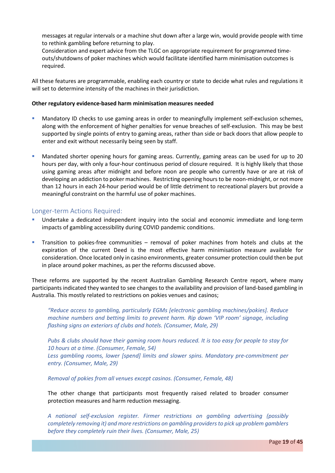messages at regular intervals or a machine shut down after a large win, would provide people with time to rethink gambling before returning to play.

Consideration and expert advice from the TLGC on appropriate requirement for programmed timeouts/shutdowns of poker machines which would facilitate identified harm minimisation outcomes is required.

All these features are programmable, enabling each country or state to decide what rules and regulations it will set to determine intensity of the machines in their jurisdiction.

#### **Other regulatory evidence-based harm minimisation measures needed**

- **•** Mandatory ID checks to use gaming areas in order to meaningfully implement self-exclusion schemes, along with the enforcement of higher penalties for venue breaches of self-exclusion. This may be best supported by single points of entry to gaming areas, rather than side or back doors that allow people to enter and exit without necessarily being seen by staff.
- Mandated shorter opening hours for gaming areas. Currently, gaming areas can be used for up to 20 hours per day, with only a four-hour continuous period of closure required. It is highly likely that those using gaming areas after midnight and before noon are people who currently have or are at risk of developing an addiction to poker machines. Restricting opening hours to be noon-midnight, or not more than 12 hours in each 24-hour period would be of little detriment to recreational players but provide a meaningful constraint on the harmful use of poker machines.

### <span id="page-18-0"></span>Longer-term Actions Required:

- Undertake a dedicated independent inquiry into the social and economic immediate and long-term impacts of gambling accessibility during COVID pandemic conditions.
- **Transition to pokies-free communities removal of poker machines from hotels and clubs at the** expiration of the current Deed is the most effective harm minimisation measure available for consideration. Once located only in casino environments, greater consumer protection could then be put in place around poker machines, as per the reforms discussed above.

These reforms are supported by the recent Australian Gambling Research Centre report, where many participants indicated they wanted to see changes to the availability and provision of land-based gambling in Australia. This mostly related to restrictions on pokies venues and casinos;

*"Reduce access to gambling, particularly EGMs [electronic gambling machines/pokies]. Reduce machine numbers and betting limits to prevent harm. Rip down 'VIP room' signage, including flashing signs on exteriors of clubs and hotels. (Consumer, Male, 29)* 

*Pubs & clubs should have their gaming room hours reduced. It is too easy for people to stay for 10 hours at a time. (Consumer, Female, 54) Less gambling rooms, lower [spend] limits and slower spins. Mandatory pre-commitment per entry. (Consumer, Male, 29)* 

*Removal of pokies from all venues except casinos. (Consumer, Female, 48)* 

The other change that participants most frequently raised related to broader consumer protection measures and harm reduction messaging.

*A national self-exclusion register. Firmer restrictions on gambling advertising (possibly completely removing it) and more restrictions on gambling providers to pick up problem gamblers before they completely ruin their lives. (Consumer, Male, 25)*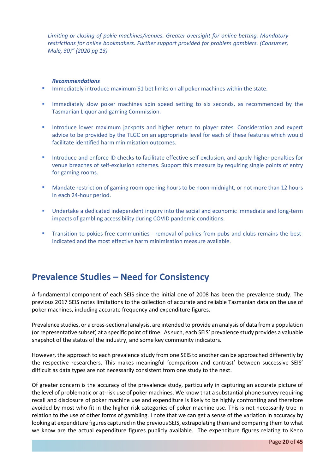*Limiting or closing of pokie machines/venues. Greater oversight for online betting. Mandatory restrictions for online bookmakers. Further support provided for problem gamblers. (Consumer, Male, 30)" (2020 pg 13)*

#### *Recommendations*

- Immediately introduce maximum \$1 bet limits on all poker machines within the state.
- Immediately slow poker machines spin speed setting to six seconds, as recommended by the Tasmanian Liquor and gaming Commission.
- Introduce lower maximum jackpots and higher return to player rates. Consideration and expert advice to be provided by the TLGC on an appropriate level for each of these features which would facilitate identified harm minimisation outcomes.
- **Introduce and enforce ID checks to facilitate effective self-exclusion, and apply higher penalties for** venue breaches of self-exclusion schemes. Support this measure by requiring single points of entry for gaming rooms.
- **Mandate restriction of gaming room opening hours to be noon-midnight, or not more than 12 hours** in each 24-hour period.
- Undertake a dedicated independent inquiry into the social and economic immediate and long-term impacts of gambling accessibility during COVID pandemic conditions.
- Transition to pokies-free communities removal of pokies from pubs and clubs remains the bestindicated and the most effective harm minimisation measure available.

# <span id="page-19-0"></span>**Prevalence Studies – Need for Consistency**

A fundamental component of each SEIS since the initial one of 2008 has been the prevalence study. The previous 2017 SEIS notes limitations to the collection of accurate and reliable Tasmanian data on the use of poker machines, including accurate frequency and expenditure figures.

Prevalence studies, or a cross-sectional analysis, are intended to provide an analysis of data from a population (or representative subset) at a specific point of time. As such, each SEIS' prevalence study provides a valuable snapshot of the status of the industry, and some key community indicators.

However, the approach to each prevalence study from one SEIS to another can be approached differently by the respective researchers. This makes meaningful 'comparison and contrast' between successive SEIS' difficult as data types are not necessarily consistent from one study to the next.

Of greater concern is the accuracy of the prevalence study, particularly in capturing an accurate picture of the level of problematic or at-risk use of poker machines. We know that a substantial phone survey requiring recall and disclosure of poker machine use and expenditure is likely to be highly confronting and therefore avoided by most who fit in the higher risk categories of poker machine use. This is not necessarily true in relation to the use of other forms of gambling. I note that we can get a sense of the variation in accuracy by looking at expenditure figures captured in the previous SEIS, extrapolating them and comparing them to what we know are the actual expenditure figures publicly available. The expenditure figures relating to Keno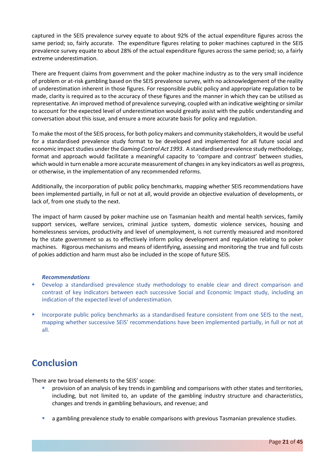captured in the SEIS prevalence survey equate to about 92% of the actual expenditure figures across the same period; so, fairly accurate. The expenditure figures relating to poker machines captured in the SEIS prevalence survey equate to about 28% of the actual expenditure figures across the same period; so, a fairly extreme underestimation.

There are frequent claims from government and the poker machine industry as to the very small incidence of problem or at-risk gambling based on the SEIS prevalence survey, with no acknowledgement of the reality of underestimation inherent in those figures. For responsible public policy and appropriate regulation to be made, clarity is required as to the accuracy of these figures and the manner in which they can be utilised as representative. An improved method of prevalence surveying, coupled with an indicative weighting orsimilar to account for the expected level of underestimation would greatly assist with the public understanding and conversation about this issue, and ensure a more accurate basis for policy and regulation.

To make the most of the SEIS process, for both policy makers and community stakeholders, it would be useful for a standardised prevalence study format to be developed and implemented for all future social and economic impact studies under the *Gaming Control Act 1993*. A standardised prevalence study methodology, format and approach would facilitate a meaningful capacity to 'compare and contrast' between studies, which would in turn enable a more accurate measurement of changes in any key indicators as well as progress, or otherwise, in the implementation of any recommended reforms.

Additionally, the incorporation of public policy benchmarks, mapping whether SEIS recommendations have been implemented partially, in full or not at all, would provide an objective evaluation of developments, or lack of, from one study to the next.

The impact of harm caused by poker machine use on Tasmanian health and mental health services, family support services, welfare services, criminal justice system, domestic violence services, housing and homelessness services, productivity and level of unemployment, is not currently measured and monitored by the state government so as to effectively inform policy development and regulation relating to poker machines. Rigorous mechanisms and means of identifying, assessing and monitoring the true and full costs of pokies addiction and harm must also be included in the scope of future SEIS.

#### *Recommendations*

- **•** Develop a standardised prevalence study methodology to enable clear and direct comparison and contrast of key indicators between each successive Social and Economic Impact study, including an indication of the expected level of underestimation.
- Incorporate public policy benchmarks as a standardised feature consistent from one SEIS to the next, mapping whether successive SEIS' recommendations have been implemented partially, in full or not at all.

# <span id="page-20-0"></span>**Conclusion**

There are two broad elements to the SEIS' scope:

- provision of an analysis of key trends in gambling and comparisons with other states and territories, including, but not limited to, an update of the gambling industry structure and characteristics, changes and trends in gambling behaviours, and revenue; and
- a gambling prevalence study to enable comparisons with previous Tasmanian prevalence studies.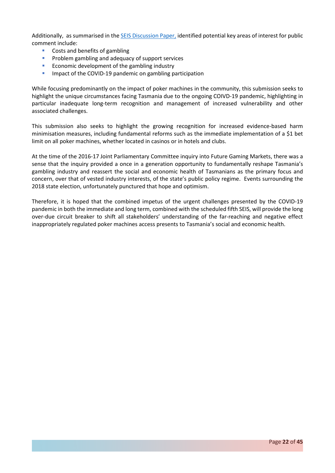Additionally, as summarised in th[e SEIS Discussion Paper,](https://www.treasury.tas.gov.au/Documents/SACES%20Community%20Consultation%20Discussion%20Paper.PDF) identified potential key areas of interest for public comment include:

- Costs and benefits of gambling
- **Problem gambling and adequacy of support services**
- **Economic development of the gambling industry**
- **IDED** Impact of the COVID-19 pandemic on gambling participation

While focusing predominantly on the impact of poker machines in the community, this submission seeks to highlight the unique circumstances facing Tasmania due to the ongoing COIVD-19 pandemic, highlighting in particular inadequate long-term recognition and management of increased vulnerability and other associated challenges.

This submission also seeks to highlight the growing recognition for increased evidence-based harm minimisation measures, including fundamental reforms such as the immediate implementation of a \$1 bet limit on all poker machines, whether located in casinos or in hotels and clubs.

At the time of the 2016-17 Joint Parliamentary Committee inquiry into Future Gaming Markets, there was a sense that the inquiry provided a once in a generation opportunity to fundamentally reshape Tasmania's gambling industry and reassert the social and economic health of Tasmanians as the primary focus and concern, over that of vested industry interests, of the state's public policy regime. Events surrounding the 2018 state election, unfortunately punctured that hope and optimism.

Therefore, it is hoped that the combined impetus of the urgent challenges presented by the COVID-19 pandemic in both the immediate and long term, combined with the scheduled fifth SEIS, will provide the long over-due circuit breaker to shift all stakeholders' understanding of the far-reaching and negative effect inappropriately regulated poker machines access presents to Tasmania's social and economic health.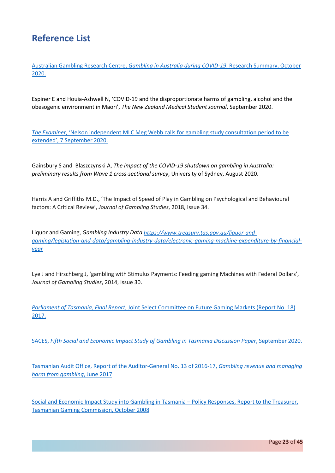# <span id="page-22-0"></span>**Reference List**

Australian Gambling Research Centre, *[Gambling in Australia during COVID-19](https://aifs.gov.au/agrc/sites/default/files/publication-documents/2009_gambling_in_australia_during_covid-19.pdf)*, Research Summary, October [2020.](https://aifs.gov.au/agrc/sites/default/files/publication-documents/2009_gambling_in_australia_during_covid-19.pdf)

Espiner E and Houia-Ashwell N, 'COVID-19 and the disproportionate harms of gambling, alcohol and the obesogenic environment in Maori', *The New Zealand Medical Student Journal*, September 2020.

*The Examiner*[, 'Nelson independent MLC Meg Webb calls for gambling study consultation period to be](https://www.examiner.com.au/story/6914314/concerns-over-gambling-study/?cs=95)  [extended', 7 September 2020.](https://www.examiner.com.au/story/6914314/concerns-over-gambling-study/?cs=95)

Gainsbury S and Blaszczynski A, *The impact of the COVID-19 shutdown on gambling in Australia: preliminary results from Wave 1 cross-sectional survey*, University of Sydney, August 2020.

Harris A and Griffiths M.D., 'The Impact of Speed of Play in Gambling on Psychological and Behavioural factors: A Critical Review', *Journal of Gambling Studies*, 2018, Issue 34.

Liquor and Gaming, *Gambling Industry Dat[a https://www.treasury.tas.gov.au/liquor-and](https://www.treasury.tas.gov.au/liquor-and-gaming/legislation-and-data/gambling-industry-data/electronic-gaming-machine-expenditure-by-financial-year)[gaming/legislation-and-data/gambling-industry-data/electronic-gaming-machine-expenditure-by-financial](https://www.treasury.tas.gov.au/liquor-and-gaming/legislation-and-data/gambling-industry-data/electronic-gaming-machine-expenditure-by-financial-year)[year](https://www.treasury.tas.gov.au/liquor-and-gaming/legislation-and-data/gambling-industry-data/electronic-gaming-machine-expenditure-by-financial-year)*

Lye J and Hirschberg J, 'gambling with Stimulus Payments: Feeding gaming Machines with Federal Dollars', *Journal of Gambling Studies*, 2014, Issue 30.

*Parliament of Tasmania, Final Report*[, Joint Select Committee on Future Gaming Markets \(Report No. 18\)](https://www.parliament.tas.gov.au/ctee/Joint/Reports/FGM/fgm.rep.170927.reportfinalforprinting.sw.pdf)  [2017.](https://www.parliament.tas.gov.au/ctee/Joint/Reports/FGM/fgm.rep.170927.reportfinalforprinting.sw.pdf)

SACES, *[Fifth Social and Economic Impact Study of Gambling in Tasmania Discussion Paper](https://www.adelaide.edu.au/saces/system/files/media/documents/2020-09/SACES%20Community%20Consultation%20Discussion%20Paper.pdf)*, September 2020.

[Tasmanian Audit Office, Report of the Auditor-General No. 13 of 2016-17,](https://www.audit.tas.gov.au/wp-content/uploads/Report-Gambling-revenue-and-managing-harm-from-gambling.pdf) *Gambling revenue and managing [harm from gambling](https://www.audit.tas.gov.au/wp-content/uploads/Report-Gambling-revenue-and-managing-harm-from-gambling.pdf)*, June 2017

[Social and Economic Impact Study into Gambling in Tasmania –](https://www.treasury.tas.gov.au/Documents/TGC-SEIS-Report.pdf) Policy Responses, Report to the Treasurer, [Tasmanian Gaming Commission, October 2008](https://www.treasury.tas.gov.au/Documents/TGC-SEIS-Report.pdf)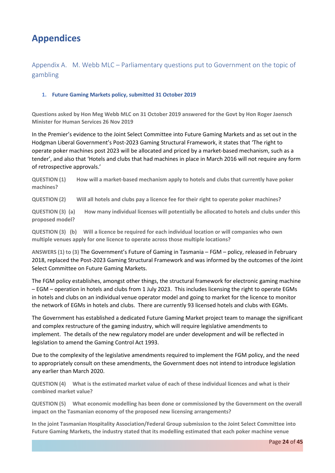# <span id="page-23-0"></span>**Appendices**

# <span id="page-23-1"></span>Appendix A. M. Webb MLC – Parliamentary questions put to Government on the topic of gambling

### **1. Future Gaming Markets policy, submitted 31 October 2019**

Questions asked by Hon Meg Webb MLC on 31 October 2019 answered for the Govt by Hon Roger Jaensch **Minister for Human Services 26 Nov 2019**

In the Premier's evidence to the Joint Select Committee into Future Gaming Markets and as set out in the Hodgman Liberal Government's Post-2023 Gaming Structural Framework, it states that 'The right to operate poker machines post 2023 will be allocated and priced by a market-based mechanism, such as a tender', and also that 'Hotels and clubs that had machines in place in March 2016 will not require any form of retrospective approvals.'

**QUESTION (1) How will a market-based mechanism apply to hotels and clubs that currently have poker machines?**

QUESTION (2) Will all hotels and clubs pay a licence fee for their right to operate poker machines?

QUESTION (3) (a) How many individual licenses will potentially be allocated to hotels and clubs under this **proposed model?**

**QUESTION (3) (b) Will a licence be required for each individual location or will companies who own multiple venues apply for one licence to operate across those multiple locations?**

**ANSWERS (1) to (3)** The Government's Future of Gaming in Tasmania – FGM – policy, released in February 2018, replaced the Post-2023 Gaming Structural Framework and was informed by the outcomes of the Joint Select Committee on Future Gaming Markets.

The FGM policy establishes, amongst other things, the structural framework for electronic gaming machine – EGM – operation in hotels and clubs from 1 July 2023. This includes licensing the right to operate EGMs in hotels and clubs on an individual venue operator model and going to market for the licence to monitor the network of EGMs in hotels and clubs. There are currently 93 licensed hotels and clubs with EGMs.

The Government has established a dedicated Future Gaming Market project team to manage the significant and complex restructure of the gaming industry, which will require legislative amendments to implement. The details of the new regulatory model are under development and will be reflected in legislation to amend the Gaming Control Act 1993.

Due to the complexity of the legislative amendments required to implement the FGM policy, and the need to appropriately consult on these amendments, the Government does not intend to introduce legislation any earlier than March 2020.

QUESTION (4) What is the estimated market value of each of these individual licences and what is their **combined market value?**

**QUESTION (5) What economic modelling has been done or commissioned by the Government on the overall impact on the Tasmanian economy of the proposed new licensing arrangements?**

**In the joint Tasmanian Hospitality Association/Federal Group submission to the Joint Select Committee into Future Gaming Markets, the industry stated that its modelling estimated that each poker machine venue**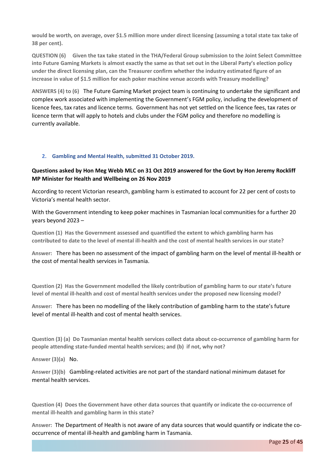would be worth, on average, over \$1.5 million more under direct licensing (assuming a total state tax take of **38 per cent).**

**QUESTION (6) Given the tax take stated in the THA/Federal Group submission to the Joint Select Committee** into Future Gaming Markets is almost exactly the same as that set out in the Liberal Party's election policy **under the direct licensing plan, can the Treasurer confirm whether the industry estimated figure of an increase in value of \$1.5 million for each poker machine venue accords with Treasury modelling?**

**ANSWERS (4) to (6)** The Future Gaming Market project team is continuing to undertake the significant and complex work associated with implementing the Government's FGM policy, including the development of licence fees, tax rates and licence terms. Government has not yet settled on the licence fees, tax rates or licence term that will apply to hotels and clubs under the FGM policy and therefore no modelling is currently available.

#### **2. Gambling and Mental Health, submitted 31 October 2019.**

### Questions asked by Hon Meg Webb MLC on 31 Oct 2019 answered for the Govt by Hon Jeremy Rockliff **MP Minister for Health and Wellbeing on 26 Nov 2019**

According to recent Victorian research, gambling harm is estimated to account for 22 per cent of costs to Victoria's mental health sector.

With the Government intending to keep poker machines in Tasmanian local communities for a further 20 years beyond 2023 –

**Question (1) Has the Government assessed and quantified the extent to which gambling harm has** contributed to date to the level of mental ill-health and the cost of mental health services in our state?

**Answer:** There has been no assessment of the impact of gambling harm on the level of mental ill-health or the cost of mental health services in Tasmania.

**Question (2) Has the Government modelled the likely contribution of gambling harm to our state's future level of mental ill-health and cost of mental health services under the proposed new licensing model?**

**Answer:** There has been no modelling of the likely contribution of gambling harm to the state's future level of mental ill-health and cost of mental health services.

**Question (3) (a) Do Tasmanian mental health services collect data about co-occurrence of gambling harm for people attending state-funded mental health services; and (b) if not, why not?**

**Answer (3)(a)** No.

**Answer (3)(b)** Gambling-related activities are not part of the standard national minimum dataset for mental health services.

**Question (4) Does the Government have other data sources that quantify or indicate the co-occurrence of mental ill-health and gambling harm in this state?**

**Answer:** The Department of Health is not aware of any data sources that would quantify or indicate the cooccurrence of mental ill-health and gambling harm in Tasmania.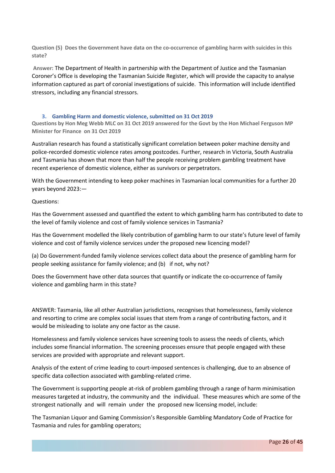**Question (5) Does the Government have data on the co-occurrence of gambling harm with suicides in this state?**

**Answer:** The Department of Health in partnership with the Department of Justice and the Tasmanian Coroner's Office is developing the Tasmanian Suicide Register, which will provide the capacity to analyse information captured as part of coronial investigations of suicide. This information will include identified stressors, including any financial stressors.

#### **3. Gambling Harm and domestic violence, submitted on 31 Oct 2019**

Questions by Hon Meg Webb MLC on 31 Oct 2019 answered for the Govt by the Hon Michael Ferguson MP **Minister for Finance on 31 Oct 2019**

Australian research has found a statistically significant correlation between poker machine density and police-recorded domestic violence rates among postcodes. Further, research in Victoria, South Australia and Tasmania has shown that more than half the people receiving problem gambling treatment have recent experience of domestic violence, either as survivors or perpetrators.

With the Government intending to keep poker machines in Tasmanian local communities for a further 20 years beyond 2023:—

Questions:

Has the Government assessed and quantified the extent to which gambling harm has contributed to date to the level of family violence and cost of family violence services in Tasmania?

Has the Government modelled the likely contribution of gambling harm to our state's future level of family violence and cost of family violence services under the proposed new licencing model?

(a) Do Government-funded family violence services collect data about the presence of gambling harm for people seeking assistance for family violence; and (b) if not, why not?

Does the Government have other data sources that quantify or indicate the co-occurrence of family violence and gambling harm in this state?

ANSWER: Tasmania, like all other Australian jurisdictions, recognises that homelessness, family violence and resorting to crime are complex social issues that stem from a range of contributing factors, and it would be misleading to isolate any one factor as the cause.

Homelessness and family violence services have screening tools to assess the needs of clients, which includes some financial information. The screening processes ensure that people engaged with these services are provided with appropriate and relevant support.

Analysis of the extent of crime leading to court-imposed sentences is challenging, due to an absence of specific data collection associated with gambling-related crime.

The Government is supporting people at-risk of problem gambling through a range of harm minimisation measures targeted at industry, the community and the individual. These measures which are some of the strongest nationally and will remain under the proposed new licensing model, include:

The Tasmanian Liquor and Gaming Commission's Responsible Gambling Mandatory Code of Practice for Tasmania and rules for gambling operators;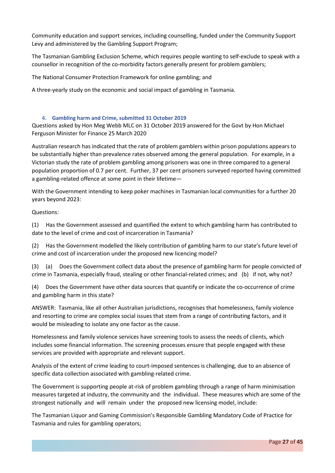Community education and support services, including counselling, funded under the Community Support Levy and administered by the Gambling Support Program;

The Tasmanian Gambling Exclusion Scheme, which requires people wanting to self-exclude to speak with a counsellor in recognition of the co-morbidity factors generally present for problem gamblers;

The National Consumer Protection Framework for online gambling; and

A three-yearly study on the economic and social impact of gambling in Tasmania.

#### **4. Gambling harm and Crime, submitted 31 October 2019**

Questions asked by Hon Meg Webb MLC on 31 October 2019 answered for the Govt by Hon Michael Ferguson Minister for Finance 25 March 2020

Australian research has indicated that the rate of problem gamblers within prison populations appears to be substantially higher than prevalence rates observed among the general population. For example, in a Victorian study the rate of problem gambling among prisoners was one in three compared to a general population proportion of 0.7 per cent. Further, 37 per cent prisoners surveyed reported having committed a gambling-related offence at some point in their lifetime—

With the Government intending to keep poker machines in Tasmanian local communities for a further 20 years beyond 2023:

Questions:

(1) Has the Government assessed and quantified the extent to which gambling harm has contributed to date to the level of crime and cost of incarceration in Tasmania?

(2) Has the Government modelled the likely contribution of gambling harm to our state's future level of crime and cost of incarceration under the proposed new licencing model?

(3) (a) Does the Government collect data about the presence of gambling harm for people convicted of crime in Tasmania, especially fraud, stealing or other financial-related crimes; and (b) if not, why not?

(4) Does the Government have other data sources that quantify or indicate the co-occurrence of crime and gambling harm in this state?

ANSWER: Tasmania, like all other Australian jurisdictions, recognises that homelessness, family violence and resorting to crime are complex social issues that stem from a range of contributing factors, and it would be misleading to isolate any one factor as the cause.

Homelessness and family violence services have screening tools to assess the needs of clients, which includes some financial information. The screening processes ensure that people engaged with these services are provided with appropriate and relevant support.

Analysis of the extent of crime leading to court-imposed sentences is challenging, due to an absence of specific data collection associated with gambling-related crime.

The Government is supporting people at-risk of problem gambling through a range of harm minimisation measures targeted at industry, the community and the individual. These measures which are some of the strongest nationally and will remain under the proposed new licensing model, include:

The Tasmanian Liquor and Gaming Commission's Responsible Gambling Mandatory Code of Practice for Tasmania and rules for gambling operators;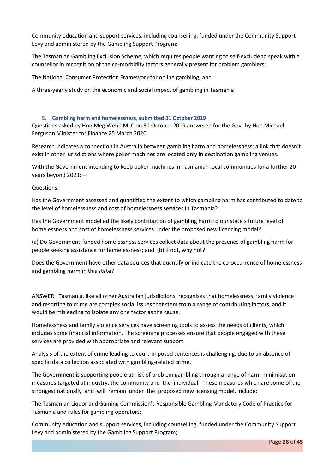Community education and support services, including counselling, funded under the Community Support Levy and administered by the Gambling Support Program;

The Tasmanian Gambling Exclusion Scheme, which requires people wanting to self-exclude to speak with a counsellor in recognition of the co-morbidity factors generally present for problem gamblers;

The National Consumer Protection Framework for online gambling; and

A three-yearly study on the economic and social impact of gambling in Tasmania

#### **5. Gambling harm and homelessness, submitted 31 October 2019**

Questions asked by Hon Meg Webb MLC on 31 October 2019 answered for the Govt by Hon Michael Ferguson Minister for Finance 25 March 2020

Research indicates a connection in Australia between gambling harm and homelessness; a link that doesn't exist in other jurisdictions where poker machines are located only in destination gambling venues.

With the Government intending to keep poker machines in Tasmanian local communities for a further 20 years beyond 2023:—

Questions:

Has the Government assessed and quantified the extent to which gambling harm has contributed to date to the level of homelessness and cost of homelessness services in Tasmania?

Has the Government modelled the likely contribution of gambling harm to our state's future level of homelessness and cost of homelessness services under the proposed new licencing model?

(a) Do Government-funded homelessness services collect data about the presence of gambling harm for people seeking assistance for homelessness; and (b) if not, why not?

Does the Government have other data sources that quantify or indicate the co-occurrence of homelessness and gambling harm in this state?

ANSWER: Tasmania, like all other Australian jurisdictions, recognises that homelessness, family violence and resorting to crime are complex social issues that stem from a range of contributing factors, and it would be misleading to isolate any one factor as the cause.

Homelessness and family violence services have screening tools to assess the needs of clients, which includes some financial information. The screening processes ensure that people engaged with these services are provided with appropriate and relevant support.

Analysis of the extent of crime leading to court-imposed sentences is challenging, due to an absence of specific data collection associated with gambling-related crime.

The Government is supporting people at-risk of problem gambling through a range of harm minimisation measures targeted at industry, the community and the individual. These measures which are some of the strongest nationally and will remain under the proposed new licensing model, include:

The Tasmanian Liquor and Gaming Commission's Responsible Gambling Mandatory Code of Practice for Tasmania and rules for gambling operators;

Community education and support services, including counselling, funded under the Community Support Levy and administered by the Gambling Support Program;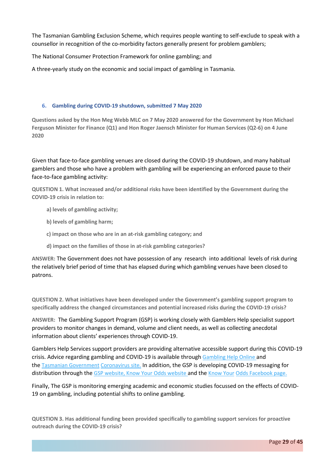The Tasmanian Gambling Exclusion Scheme, which requires people wanting to self-exclude to speak with a counsellor in recognition of the co-morbidity factors generally present for problem gamblers;

The National Consumer Protection Framework for online gambling; and

A three-yearly study on the economic and social impact of gambling in Tasmania.

#### **6. Gambling during COVID-19 shutdown, submitted 7 May 2020**

Questions asked by the Hon Meg Webb MLC on 7 May 2020 answered for the Government by Hon Michael **Ferguson Minister for Finance (Q1) and Hon Roger Jaensch Minister for Human Services (Q2-6) on 4 June 2020**

Given that face-to-face gambling venues are closed during the COVID-19 shutdown, and many habitual gamblers and those who have a problem with gambling will be experiencing an enforced pause to their face-to-face gambling activity:

**QUESTION 1. What increased and/or additional risks have been identified by the Government during the COVID-19 crisis in relation to:**

- **a) levels of gambling activity;**
- **b) levels of gambling harm;**
- **c) impact on those who are in an at-risk gambling category; and**
- **d) impact on the families of those in at-risk gambling categories?**

**ANSWER:** The Government does not have possession of any research into additional levels of risk during the relatively brief period of time that has elapsed during which gambling venues have been closed to patrons.

**QUESTION 2. What initiatives have been developed under the Government's gambling support program to specifically address the changed circumstances and potential increased risks during the COVID-19 crisis?**

**ANSWER:** The Gambling Support Program (GSP) is working closely with Gamblers Help specialist support providers to monitor changes in demand, volume and client needs, as well as collecting anecdotal information about clients' experiences through COVID-19.

Gamblers Help Services support providers are providing alternative accessible support during this COVID-19 crisis. Advice regarding gambling and COVID-19 is available through [Gambling](https://www.gamblinghelponline.org.au/covid-19-update) Help Online and the Tasmanian [Government](https://www.coronavirus.tas.gov.au/government-service-closures) [Coronavirus](https://www.coronavirus.tas.gov.au/government-service-closures) site. In addition, the GSP is developing COVID-19 messaging for distribution through the GSP [website,](https://www.communities.tas.gov.au/disability-community-services/gambling/getting_help/exclusions) Know Your Odds [website](https://www.communities.tas.gov.au/disability-community-services/gambling/getting_help/exclusions) and the [Know](https://www.facebook.com/knowyourodds/) Your Odds [Facebook](https://www.facebook.com/knowyourodds/) page.

Finally, The GSP is monitoring emerging academic and economic studies focussed on the effects of COVID-19 on gambling, including potential shifts to online gambling.

**QUESTION 3. Has additional funding been provided specifically to gambling support services for proactive outreach during the COVID-19 crisis?**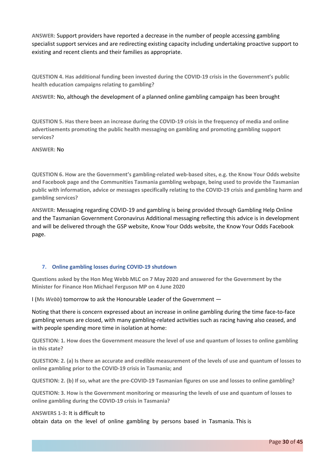**ANSWER:** Support providers have reported a decrease in the number of people accessing gambling specialist support services and are redirecting existing capacity including undertaking proactive support to existing and recent clients and their families as appropriate.

**QUESTION 4. Has additional funding been invested during the COVID-19 crisis in the Government's public health education campaigns relating to gambling?**

**ANSWER**: No, although the development of a planned online gambling campaign has been brought

QUESTION 5. Has there been an increase during the COVID-19 crisis in the frequency of media and online **advertisements promoting the public health messaging on gambling and promoting gambling support services?**

#### **ANSWER:** No

**QUESTION 6. How are the Government's gambling-related web-based sites, e.g. the Know Your Odds website and Facebook page and the Communities Tasmania gambling webpage, being used to provide the Tasmanian public with information, advice or messages specifically relating to the COVID-19 crisis and gambling harm and gambling services?**

**ANSWER:** Messaging regarding COVID-19 and gambling is being provided through Gambling Help Online and the Tasmanian Government Coronavirus Additional messaging reflecting this advice is in development and will be delivered through the GSP website, Know Your Odds website, the Know Your Odds Facebook page.

#### **7. Online gambling losses during COVID-19 shutdown**

Questions asked by the Hon Meg Webb MLC on 7 May 2020 and answered for the Government by the **Minister for Finance Hon Michael Ferguson MP on 4 June 2020**

I (**Ms** *Webb*) tomorrow to ask the Honourable Leader of the Government —

Noting that there is concern expressed about an increase in online gambling during the time face-to-face gambling venues are closed, with many gambling-related activities such as racing having also ceased, and with people spending more time in isolation at home:

QUESTION: 1. How does the Government measure the level of use and quantum of losses to online gambling **in this state?**

QUESTION: 2. (a) Is there an accurate and credible measurement of the levels of use and quantum of losses to **online gambling prior to the COVID-19 crisis in Tasmania; and**

QUESTION: 2. (b) If so, what are the pre-COVID-19 Tasmanian figures on use and losses to online gambling?

QUESTION: 3. How is the Government monitoring or measuring the levels of use and quantum of losses to **online gambling during the COVID-19 crisis in Tasmania?**

#### **ANSWERS 1-3**: It is difficult to

obtain data on the level of online gambling by persons based in Tasmania. This is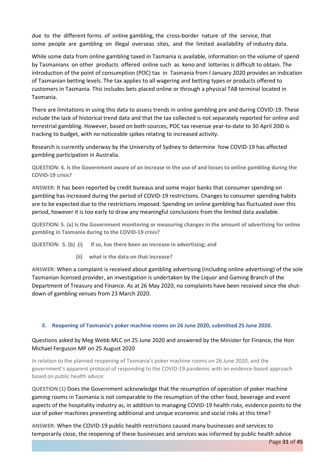due to the different forms of online gambling, the cross-border nature of the service, that some people are gambling on illegal overseas sites, and the limited availability of industry data.

While some data from online gambling taxed in Tasmania is available, information on the volume of spend by Tasmanians on other products offered online such as keno and lotteries is difficult to obtain. The introduction of the point of consumption (POC) tax in Tasmania from I January 2020 provides an indication of Tasmanian betting levels. The tax applies to all wagering and betting types or products offered to customers in Tasmania. This includes bets placed online or through a physical TAB terminal located in Tasmania.

There are limitations in using this data to assess trends in online gambling pre and during COVID-19. These include the lack of historical trend data and that the tax collected is not separately reported for online and terrestrial gambling. However, based on both sources, POC tax revenue year-to-date to 30 April 20i0 is tracking to budget, with no noticeable spikes relating to increased activity.

Research is currently underway by the University of Sydney to determine how COVID-19 has affected gambling participation in Australia.

QUESTION: 4. Is the Government aware of an increase in the use of and losses to online gambling during the **COVID-19 crisis?**

**ANSWER:** It has been reported by credit bureaus and some major banks that consumer spending on gambling has increased during the period of COVID-19 restrictions. Changes to consumer spending habits are to be expected due to the restrictions imposed. Spending on online gambling has fluctuated over this period, however it is too early to draw any meaningful conclusions from the limited data available.

QUESTION: 5. (a) Is the Government monitoring or measuring changes in the amount of advertising for online **gambling in Tasmania during to the COVID-19 crisis?**

**QUESTION: 5. (b) (i) If so, has there been an increase in advertising; and**

**(ii) what is the data on that increase?**

**ANSWER**: When a complaint is received about gambling advertising (including online advertising) of the sole Tasmanian licensed provider, an investigation is undertaken by the Liquor and Gaming Branch of the Department of Treasury and Finance. As at 26 May 2020, no complaints have been received since the shutdown of gambling venues from 23 March 2020.

#### **8. Reopening of Tasmania's poker machine rooms on 26 June 2020, submitted 25 June 2020.**

### Questions asked by Meg Webb MLC on 25 June 2020 and answered by the Minister for Finance, the Hon Michael Ferguson MP on 25 August 2020

In relation to the planned reopening of Tasmania's poker machine rooms on 26 June 2020, and the government's apparent protocol of responding to the COVID-19 pandemic with an evidence-based approach based on public health advice:

**QUESTION (1)** Does the Government acknowledge that the resumption of operation of poker machine gaming rooms in Tasmania is not comparable to the resumption of the other food, beverage and event aspects of the hospitality industry as, in addition to managing COVID-19 health risks, evidence points to the use of poker machines presenting additional and unique economic and social risks at this time?

**ANSWER:** When the COVID-19 public health restrictions caused many businesses and services to temporarily close, the reopening of these businesses and services was informed by public health advice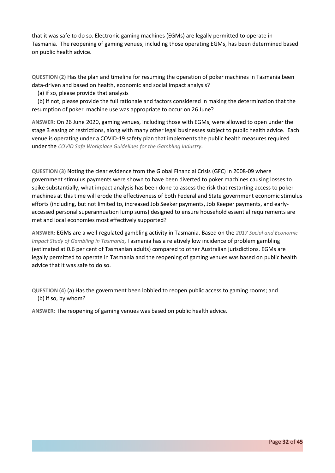that it was safe to do so. Electronic gaming machines (EGMs) are legally permitted to operate in Tasmania. The reopening of gaming venues, including those operating EGMs, has been determined based on public health advice.

**QUESTION (2)** Has the plan and timeline for resuming the operation of poker machines in Tasmania been data-driven and based on health, economic and social impact analysis?

(a) if so, please provide that analysis

(b) if not, please provide the full rationale and factors considered in making the determination that the resumption of poker machine use was appropriate to occur on 26 June?

**ANSWER:** On 26 June 2020, gaming venues, including those with EGMs, were allowed to open under the stage 3 easing of restrictions, along with many other legal businesses subject to public health advice. Each venue is operating under a COVID-19 safety plan that implements the public health measures required under the *COVID Safe Workplace Guidelines for the Gambling Industry*.

**QUESTION (3)** Noting the clear evidence from the Global Financial Crisis (GFC) in 2008-09 where government stimulus payments were shown to have been diverted to poker machines causing losses to spike substantially, what impact analysis has been done to assess the risk that restarting access to poker machines at this time will erode the effectiveness of both Federal and State government economic stimulus efforts (including, but not limited to, increased Job Seeker payments, Job Keeper payments, and earlyaccessed personal superannuation lump sums) designed to ensure household essential requirements are met and local economies most effectively supported?

**ANSWER:** EGMs are a well-regulated gambling activity in Tasmania. Based on the *2017 Social and Economic Impact Study of Gambling in Tasmania*, Tasmania has a relatively low incidence of problem gambling (estimated at 0.6 per cent of Tasmanian adults) compared to other Australian jurisdictions. EGMs are legally permitted to operate in Tasmania and the reopening of gaming venues was based on public health advice that it was safe to do so.

**QUESTION (4**) (a) Has the government been lobbied to reopen public access to gaming rooms; and (b) if so, by whom?

**ANSWER:** The reopening of gaming venues was based on public health advice.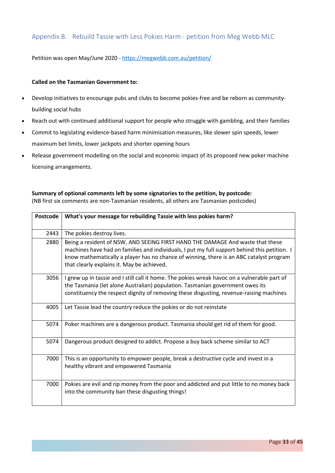# <span id="page-32-0"></span>Appendix B. Rebuild Tassie with Less Pokies Harm - petition from Meg Webb MLC

Petition was open May/June 2020 - <https://megwebb.com.au/petition/>

#### **Called on the Tasmanian Government to:**

- Develop initiatives to encourage pubs and clubs to become pokies-free and be reborn as communitybuilding social hubs
- Reach out with continued additional support for people who struggle with gambling, and their families
- Commit to legislating evidence-based harm minimisation measures, like slower spin speeds, lower maximum bet limits, lower jackpots and shorter opening hours
- Release government modelling on the social and economic impact of its proposed new poker machine licensing arrangements.

#### **Summary of optional comments left by some signatories to the petition, by postcode:**

(NB first six comments are non-Tasmanian residents, all others are Tasmanian postcodes)

| <b>Postcode</b> | What's your message for rebuilding Tassie with less pokies harm?                                                                                                                                                                                                                                                        |
|-----------------|-------------------------------------------------------------------------------------------------------------------------------------------------------------------------------------------------------------------------------------------------------------------------------------------------------------------------|
| 2443            | The pokies destroy lives.                                                                                                                                                                                                                                                                                               |
| 2880            | Being a resident of NSW, AND SEEING FIRST HAND THE DAMAGE And waste that these<br>machines have had on families and individuals, I put my full support behind this petition. I<br>know mathematically a player has no chance of winning, there is an ABC catalyst program<br>that clearly explains it. May be achieved. |
| 3056            | I grew up in tassie and I still call it home. The pokies wreak havoc on a vulnerable part of<br>the Tasmania (let alone Australian) population. Tasmanian government owes its<br>constituency the respect dignity of removing these disgusting, revenue-raising machines                                                |
| 4005            | Let Tassie lead the country reduce the pokies or do not reinstate                                                                                                                                                                                                                                                       |
| 5074            | Poker machines are a dangerous product. Tasmania should get rid of them for good.                                                                                                                                                                                                                                       |
| 5074            | Dangerous product designed to addict. Propose a buy back scheme similar to ACT                                                                                                                                                                                                                                          |
| 7000            | This is an opportunity to empower people, break a destructive cycle and invest in a<br>healthy vibrant and empowered Tasmania                                                                                                                                                                                           |
| 7000            | Pokies are evil and rip money from the poor and addicted and put little to no money back<br>into the community ban these disgusting things!                                                                                                                                                                             |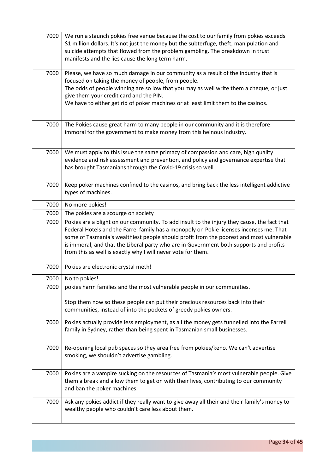| 7000 | We run a staunch pokies free venue because the cost to our family from pokies exceeds<br>\$1 million dollars. It's not just the money but the subterfuge, theft, manipulation and<br>suicide attempts that flowed from the problem gambling. The breakdown in trust<br>manifests and the lies cause the long term harm.                                                                                                                     |
|------|---------------------------------------------------------------------------------------------------------------------------------------------------------------------------------------------------------------------------------------------------------------------------------------------------------------------------------------------------------------------------------------------------------------------------------------------|
| 7000 | Please, we have so much damage in our community as a result of the industry that is<br>focused on taking the money of people, from people.<br>The odds of people winning are so low that you may as well write them a cheque, or just<br>give them your credit card and the PIN.<br>We have to either get rid of poker machines or at least limit them to the casinos.                                                                      |
| 7000 | The Pokies cause great harm to many people in our community and it is therefore<br>immoral for the government to make money from this heinous industry.                                                                                                                                                                                                                                                                                     |
| 7000 | We must apply to this issue the same primacy of compassion and care, high quality<br>evidence and risk assessment and prevention, and policy and governance expertise that<br>has brought Tasmanians through the Covid-19 crisis so well.                                                                                                                                                                                                   |
| 7000 | Keep poker machines confined to the casinos, and bring back the less intelligent addictive<br>types of machines.                                                                                                                                                                                                                                                                                                                            |
| 7000 | No more pokies!                                                                                                                                                                                                                                                                                                                                                                                                                             |
| 7000 | The pokies are a scourge on society                                                                                                                                                                                                                                                                                                                                                                                                         |
| 7000 | Pokies are a blight on our community. To add insult to the injury they cause, the fact that<br>Federal Hotels and the Farrel family has a monopoly on Pokie licenses incenses me. That<br>some of Tasmania's wealthiest people should profit from the poorest and most vulnerable<br>is immoral, and that the Liberal party who are in Government both supports and profits<br>from this as well is exactly why I will never vote for them. |
| 7000 | Pokies are electronic crystal meth!                                                                                                                                                                                                                                                                                                                                                                                                         |
| 7000 | No to pokies!                                                                                                                                                                                                                                                                                                                                                                                                                               |
| 7000 | pokies harm families and the most vulnerable people in our communities.<br>Stop them now so these people can put their precious resources back into their                                                                                                                                                                                                                                                                                   |
|      | communities, instead of into the pockets of greedy pokies owners.                                                                                                                                                                                                                                                                                                                                                                           |
| 7000 | Pokies actually provide less employment, as all the money gets funnelled into the Farrell<br>family in Sydney, rather than being spent in Tasmanian small businesses.                                                                                                                                                                                                                                                                       |
| 7000 | Re-opening local pub spaces so they area free from pokies/keno. We can't advertise<br>smoking, we shouldn't advertise gambling.                                                                                                                                                                                                                                                                                                             |
| 7000 | Pokies are a vampire sucking on the resources of Tasmania's most vulnerable people. Give<br>them a break and allow them to get on with their lives, contributing to our community<br>and ban the poker machines.                                                                                                                                                                                                                            |
| 7000 | Ask any pokies addict if they really want to give away all their and their family's money to<br>wealthy people who couldn't care less about them.                                                                                                                                                                                                                                                                                           |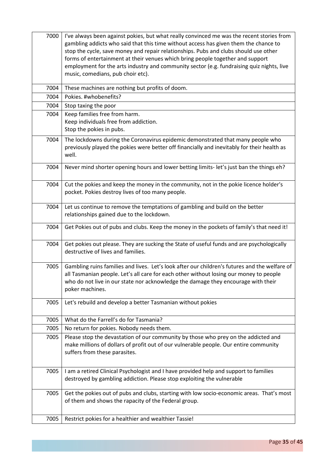| 7000 | I've always been against pokies, but what really convinced me was the recent stories from<br>gambling addicts who said that this time without access has given them the chance to<br>stop the cycle, save money and repair relationships. Pubs and clubs should use other<br>forms of entertainment at their venues which bring people together and support<br>employment for the arts industry and community sector (e.g. fundraising quiz nights, live<br>music, comedians, pub choir etc). |
|------|-----------------------------------------------------------------------------------------------------------------------------------------------------------------------------------------------------------------------------------------------------------------------------------------------------------------------------------------------------------------------------------------------------------------------------------------------------------------------------------------------|
| 7004 | These machines are nothing but profits of doom.                                                                                                                                                                                                                                                                                                                                                                                                                                               |
| 7004 | Pokies. #whobenefits?                                                                                                                                                                                                                                                                                                                                                                                                                                                                         |
| 7004 | Stop taxing the poor                                                                                                                                                                                                                                                                                                                                                                                                                                                                          |
| 7004 | Keep families free from harm.<br>Keep individuals free from addiction.<br>Stop the pokies in pubs.                                                                                                                                                                                                                                                                                                                                                                                            |
| 7004 | The lockdowns during the Coronavirus epidemic demonstrated that many people who<br>previously played the pokies were better off financially and inevitably for their health as<br>well.                                                                                                                                                                                                                                                                                                       |
| 7004 | Never mind shorter opening hours and lower betting limits- let's just ban the things eh?                                                                                                                                                                                                                                                                                                                                                                                                      |
| 7004 | Cut the pokies and keep the money in the community, not in the pokie licence holder's<br>pocket. Pokies destroy lives of too many people.                                                                                                                                                                                                                                                                                                                                                     |
| 7004 | Let us continue to remove the temptations of gambling and build on the better<br>relationships gained due to the lockdown.                                                                                                                                                                                                                                                                                                                                                                    |
| 7004 | Get Pokies out of pubs and clubs. Keep the money in the pockets of family's that need it!                                                                                                                                                                                                                                                                                                                                                                                                     |
| 7004 | Get pokies out please. They are sucking the State of useful funds and are psychologically<br>destructive of lives and families.                                                                                                                                                                                                                                                                                                                                                               |
| 7005 | Gambling ruins families and lives. Let's look after our children's futures and the welfare of<br>all Tasmanian people. Let's all care for each other without losing our money to people<br>who do not live in our state nor acknowledge the damage they encourage with their<br>poker machines.                                                                                                                                                                                               |
| 7005 | Let's rebuild and develop a better Tasmanian without pokies                                                                                                                                                                                                                                                                                                                                                                                                                                   |
| 7005 | What do the Farrell's do for Tasmania?                                                                                                                                                                                                                                                                                                                                                                                                                                                        |
| 7005 | No return for pokies. Nobody needs them.                                                                                                                                                                                                                                                                                                                                                                                                                                                      |
| 7005 | Please stop the devastation of our community by those who prey on the addicted and<br>make millions of dollars of profit out of our vulnerable people. Our entire community<br>suffers from these parasites.                                                                                                                                                                                                                                                                                  |
| 7005 | I am a retired Clinical Psychologist and I have provided help and support to families<br>destroyed by gambling addiction. Please stop exploiting the vulnerable                                                                                                                                                                                                                                                                                                                               |
| 7005 | Get the pokies out of pubs and clubs, starting with low socio-economic areas. That's most<br>of them and shows the rapacity of the Federal group.                                                                                                                                                                                                                                                                                                                                             |
| 7005 | Restrict pokies for a healthier and wealthier Tassie!                                                                                                                                                                                                                                                                                                                                                                                                                                         |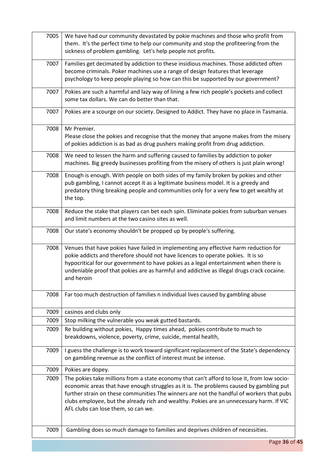| 7005 | We have had our community devastated by pokie machines and those who profit from<br>them. It's the perfect time to help our community and stop the profiteering from the<br>sickness of problem gambling. Let's help people not profits.                                                                                                                                                                              |
|------|-----------------------------------------------------------------------------------------------------------------------------------------------------------------------------------------------------------------------------------------------------------------------------------------------------------------------------------------------------------------------------------------------------------------------|
| 7007 | Families get decimated by addiction to these insidious machines. Those addicted often<br>become criminals. Poker machines use a range of design features that leverage<br>psychology to keep people playing so how can this be supported by our government?                                                                                                                                                           |
| 7007 | Pokies are such a harmful and lazy way of lining a few rich people's pockets and collect<br>some tax dollars. We can do better than that.                                                                                                                                                                                                                                                                             |
| 7007 | Pokies are a scourge on our society. Designed to Addict. They have no place in Tasmania.                                                                                                                                                                                                                                                                                                                              |
| 7008 | Mr Premier.<br>Please close the pokies and recognise that the money that anyone makes from the misery<br>of pokies addiction is as bad as drug pushers making profit from drug addiction.                                                                                                                                                                                                                             |
| 7008 | We need to lessen the harm and suffering caused to families by addiction to poker<br>machines. Big greedy businesses profiting from the misery of others is just plain wrong!                                                                                                                                                                                                                                         |
| 7008 | Enough is enough. With people on both sides of my family broken by pokies and other<br>pub gambling, I cannot accept it as a legitimate business model. It is a greedy and<br>predatory thing breaking people and communities only for a very few to get wealthy at<br>the top.                                                                                                                                       |
| 7008 | Reduce the stake that players can bet each spin. Eliminate pokies from suburban venues<br>and limit numbers at the two casino sites as well.                                                                                                                                                                                                                                                                          |
| 7008 | Our state's economy shouldn't be propped up by people's suffering.                                                                                                                                                                                                                                                                                                                                                    |
| 7008 | Venues that have pokies have failed in implementing any effective harm reduction for<br>pokie addicts and therefore should not have licences to operate pokies. It is so<br>hypocritical for our government to have pokies as a legal entertainment when there is<br>undeniable proof that pokies are as harmful and addictive as illegal drugs crack cocaine.<br>and heroin                                          |
| 7008 | Far too much destruction of families n individual lives caused by gambling abuse                                                                                                                                                                                                                                                                                                                                      |
| 7009 | casinos and clubs only                                                                                                                                                                                                                                                                                                                                                                                                |
| 7009 | Stop milking the vulnerable you weak gutted bastards.                                                                                                                                                                                                                                                                                                                                                                 |
| 7009 | Re building without pokies, Happy times ahead, pokies contribute to much to<br>breakdowns, violence, poverty, crime, suicide, mental health,                                                                                                                                                                                                                                                                          |
| 7009 | I guess the challenge is to work toward significant replacement of the State's dependency<br>on gambling revenue as the conflict of interest must be intense.                                                                                                                                                                                                                                                         |
| 7009 | Pokies are dopey.                                                                                                                                                                                                                                                                                                                                                                                                     |
| 7009 | The pokies take millions from a state economy that can't afford to lose it, from low socio-<br>economic areas that have enough struggles as it is. The problems caused by gambling put<br>further strain on these communities The winners are not the handful of workers that pubs<br>clubs employee, but the already rich and wealthy. Pokies are an unnecessary harm. If VIC<br>AFL clubs can lose them, so can we. |
| 7009 | Gambling does so much damage to families and deprives children of necessities.                                                                                                                                                                                                                                                                                                                                        |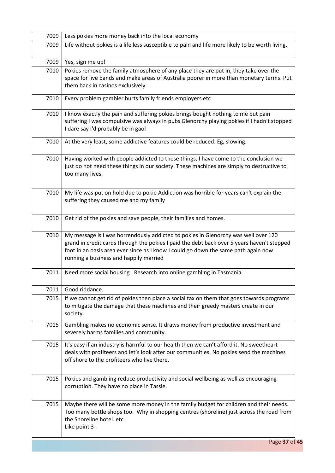| 7009 | Less pokies more money back into the local economy                                                                                                                                                                                                                                                               |
|------|------------------------------------------------------------------------------------------------------------------------------------------------------------------------------------------------------------------------------------------------------------------------------------------------------------------|
| 7009 | Life without pokies is a life less susceptible to pain and life more likely to be worth living.                                                                                                                                                                                                                  |
| 7009 | Yes, sign me up!                                                                                                                                                                                                                                                                                                 |
| 7010 | Pokies remove the family atmosphere of any place they are put in, they take over the<br>space for live bands and make areas of Australia poorer in more than monetary terms. Put<br>them back in casinos exclusively.                                                                                            |
| 7010 | Every problem gambler hurts family friends employers etc                                                                                                                                                                                                                                                         |
| 7010 | I know exactly the pain and suffering pokies brings bought nothing to me but pain<br>suffering I was compulsive was always in pubs Glenorchy playing pokies if I hadn't stopped<br>I dare say I'd probably be in gaol                                                                                            |
| 7010 | At the very least, some addictive features could be reduced. Eg, slowing.                                                                                                                                                                                                                                        |
| 7010 | Having worked with people addicted to these things, I have come to the conclusion we<br>just do not need these things in our society. These machines are simply to destructive to<br>too many lives.                                                                                                             |
| 7010 | My life was put on hold due to pokie Addiction was horrible for years can't explain the<br>suffering they caused me and my family                                                                                                                                                                                |
| 7010 | Get rid of the pokies and save people, their families and homes.                                                                                                                                                                                                                                                 |
| 7010 | My message is I was horrendously addicted to pokies in Glenorchy was well over 120<br>grand in credit cards through the pokies I paid the debt back over 5 years haven't stepped<br>foot in an oasis area ever since as I know I could go down the same path again now<br>running a business and happily married |
| 7011 | Need more social housing. Research into online gambling in Tasmania.                                                                                                                                                                                                                                             |
| 7011 | Good riddance.                                                                                                                                                                                                                                                                                                   |
| 7015 | If we cannot get rid of pokies then place a social tax on them that goes towards programs<br>to mitigate the damage that these machines and their greedy masters create in our<br>society.                                                                                                                       |
| 7015 | Gambling makes no economic sense. It draws money from productive investment and<br>severely harms families and community.                                                                                                                                                                                        |
| 7015 | It's easy if an industry is harmful to our health then we can't afford it. No sweetheart<br>deals with profiteers and let's look after our communities. No pokies send the machines<br>off shore to the profiteers who live there.                                                                               |
| 7015 | Pokies and gambling reduce productivity and social wellbeing as well as encouraging<br>corruption. They have no place in Tassie.                                                                                                                                                                                 |
| 7015 | Maybe there will be some more money in the family budget for children and their needs.<br>Too many bottle shops too. Why in shopping centres (shoreline) just across the road from<br>the Shoreline hotel. etc.<br>Like point 3.                                                                                 |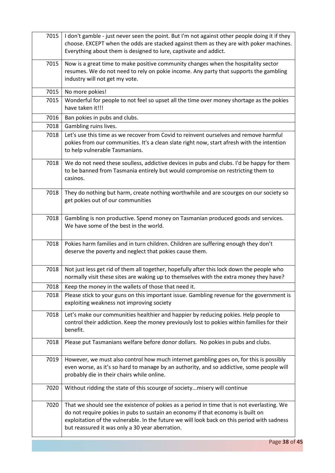| 7015 | I don't gamble - just never seen the point. But I'm not against other people doing it if they<br>choose. EXCEPT when the odds are stacked against them as they are with poker machines.<br>Everything about them is designed to lure, captivate and addict.                                                                     |
|------|---------------------------------------------------------------------------------------------------------------------------------------------------------------------------------------------------------------------------------------------------------------------------------------------------------------------------------|
| 7015 | Now is a great time to make positive community changes when the hospitality sector<br>resumes. We do not need to rely on pokie income. Any party that supports the gambling<br>industry will not get my vote.                                                                                                                   |
| 7015 | No more pokies!                                                                                                                                                                                                                                                                                                                 |
| 7015 | Wonderful for people to not feel so upset all the time over money shortage as the pokies<br>have taken it!!!                                                                                                                                                                                                                    |
| 7016 | Ban pokies in pubs and clubs.                                                                                                                                                                                                                                                                                                   |
| 7018 | Gambling ruins lives.                                                                                                                                                                                                                                                                                                           |
| 7018 | Let's use this time as we recover from Covid to reinvent ourselves and remove harmful<br>pokies from our communities. It's a clean slate right now, start afresh with the intention<br>to help vulnerable Tasmanians.                                                                                                           |
| 7018 | We do not need these soulless, addictive devices in pubs and clubs. I'd be happy for them<br>to be banned from Tasmania entirely but would compromise on restricting them to<br>casinos.                                                                                                                                        |
| 7018 | They do nothing but harm, create nothing worthwhile and are scourges on our society so<br>get pokies out of our communities                                                                                                                                                                                                     |
| 7018 | Gambling is non productive. Spend money on Tasmanian produced goods and services.<br>We have some of the best in the world.                                                                                                                                                                                                     |
| 7018 | Pokies harm families and in turn children. Children are suffering enough they don't<br>deserve the poverty and neglect that pokies cause them.                                                                                                                                                                                  |
| 7018 | Not just less get rid of them all together, hopefully after this lock down the people who<br>normally visit these sites are waking up to themselves with the extra money they have?                                                                                                                                             |
| 7018 | Keep the money in the wallets of those that need it.                                                                                                                                                                                                                                                                            |
| 7018 | Please stick to your guns on this important issue. Gambling revenue for the government is<br>exploiting weakness not improving society                                                                                                                                                                                          |
| 7018 | Let's make our communities healthier and happier by reducing pokies. Help people to<br>control their addiction. Keep the money previously lost to pokies within families for their<br>benefit.                                                                                                                                  |
| 7018 | Please put Tasmanians welfare before donor dollars. No pokies in pubs and clubs.                                                                                                                                                                                                                                                |
| 7019 | However, we must also control how much internet gambling goes on, for this is possibly<br>even worse, as it's so hard to manage by an authority, and so addictive, some people will<br>probably die in their chairs while online.                                                                                               |
| 7020 | Without ridding the state of this scourge of societymisery will continue                                                                                                                                                                                                                                                        |
| 7020 | That we should see the existence of pokies as a period in time that is not everlasting. We<br>do not require pokies in pubs to sustain an economy if that economy is built on<br>exploitation of the vulnerable. In the future we will look back on this period with sadness<br>but reassured it was only a 30 year aberration. |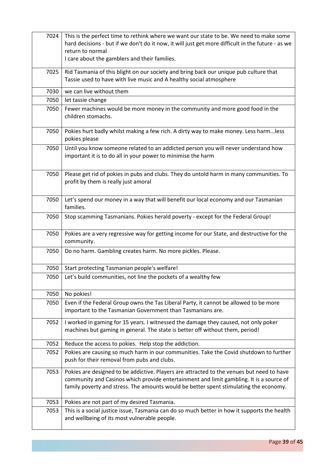| 7024 | This is the perfect time to rethink where we want our state to be. We need to make some<br>hard decisions - but if we don't do it now, it will just get more difficult in the future - as we<br>return to normal<br>I care about the gamblers and their families.             |
|------|-------------------------------------------------------------------------------------------------------------------------------------------------------------------------------------------------------------------------------------------------------------------------------|
| 7025 | Rid Tasmania of this blight on our society and bring back our unique pub culture that<br>Tassie used to have with live music and A healthy social atmosphere                                                                                                                  |
| 7030 | we can live without them                                                                                                                                                                                                                                                      |
| 7050 | let tassie change                                                                                                                                                                                                                                                             |
| 7050 | Fewer machines would be more money in the community and more good food in the<br>children stomachs.                                                                                                                                                                           |
| 7050 | Pokies hurt badly whilst making a few rich. A dirty way to make money. Less harmless<br>pokies please                                                                                                                                                                         |
| 7050 | Until you know someone related to an addicted person you will never understand how<br>important it is to do all in your power to minimise the harm                                                                                                                            |
| 7050 | Please get rid of pokies in pubs and clubs. They do untold harm in many communities. To<br>profit by them is really just amoral                                                                                                                                               |
| 7050 | Let's spend our money in a way that will benefit our local economy and our Tasmanian<br>families.                                                                                                                                                                             |
| 7050 | Stop scamming Tasmanians. Pokies herald poverty - except for the Federal Group!                                                                                                                                                                                               |
| 7050 | Pokies are a very regressive way for getting income for our State, and destructive for the<br>community.                                                                                                                                                                      |
| 7050 | Do no harm. Gambling creates harm. No more pickles. Please.                                                                                                                                                                                                                   |
| 7050 | Start protecting Tasmanian people's welfare!                                                                                                                                                                                                                                  |
| 7050 | Let's build communities, not line the pockets of a wealthy few                                                                                                                                                                                                                |
| 7050 | No pokies!                                                                                                                                                                                                                                                                    |
| 7050 | Even if the Federal Group owns the Tas Liberal Party, it cannot be allowed to be more<br>important to the Tasmanian Government than Tasmanians are.                                                                                                                           |
| 7052 | I worked in gaming for 15 years. I witnessed the damage they caused, not only poker<br>machines but gaming in general. The state is better off without them, period!                                                                                                          |
| 7052 | Reduce the access to pokies. Help stop the addiction.                                                                                                                                                                                                                         |
| 7052 | Pokies are causing so much harm in our communities. Take the Covid shutdown to further<br>push for their removal from pubs and clubs.                                                                                                                                         |
| 7053 | Pokies are designed to be addictive. Players are attracted to the venues but need to have<br>community and Casinos which provide entertainment and limit gambling. It is a source of<br>family poverty and stress. The amounts would be better spent stimulating the economy. |
| 7053 | Pokies are not part of my desired Tasmania.                                                                                                                                                                                                                                   |
| 7053 | This is a social justice issue, Tasmania can do so much better in how it supports the health<br>and wellbeing of its most vulnerable people.                                                                                                                                  |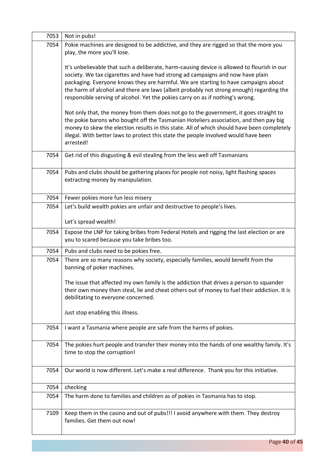| 7053 | Not in pubs!                                                                                                                                                                                                                                                                                                                                                                                                                                       |
|------|----------------------------------------------------------------------------------------------------------------------------------------------------------------------------------------------------------------------------------------------------------------------------------------------------------------------------------------------------------------------------------------------------------------------------------------------------|
| 7054 | Pokie machines are designed to be addictive, and they are rigged so that the more you<br>play, the more you'll lose.                                                                                                                                                                                                                                                                                                                               |
|      | It's unbelievable that such a deliberate, harm-causing device is allowed to flourish in our<br>society. We tax cigarettes and have had strong ad campaigns and now have plain<br>packaging. Everyone knows they are harmful. We are starting to have campaigns about<br>the harm of alcohol and there are laws (albeit probably not strong enough) regarding the<br>responsible serving of alcohol. Yet the pokies carry on as if nothing's wrong. |
|      | Not only that, the money from them does not go to the government, it goes straight to<br>the pokie barons who bought off the Tasmanian Hoteliers association, and then pay big<br>money to skew the election results in this state. All of which should have been completely<br>illegal. With better laws to protect this state the people involved would have been<br>arrested!                                                                   |
| 7054 | Get rid of this disgusting & evil stealing from the less well off Tasmanians                                                                                                                                                                                                                                                                                                                                                                       |
| 7054 | Pubs and clubs should be gathering places for people not noisy, light flashing spaces<br>extracting money by manipulation.                                                                                                                                                                                                                                                                                                                         |
| 7054 | Fewer pokies more fun less misery                                                                                                                                                                                                                                                                                                                                                                                                                  |
| 7054 | Let's build wealth pokies are unfair and destructive to people's lives.                                                                                                                                                                                                                                                                                                                                                                            |
|      | Let's spread wealth!                                                                                                                                                                                                                                                                                                                                                                                                                               |
| 7054 | Expose the LNP for taking bribes from Federal Hotels and rigging the last election or are<br>you to scared because you take bribes too.                                                                                                                                                                                                                                                                                                            |
| 7054 | Pubs and clubs need to be pokies free.                                                                                                                                                                                                                                                                                                                                                                                                             |
| 7054 | There are so many reasons why society, especially families, would benefit from the<br>banning of poker machines.                                                                                                                                                                                                                                                                                                                                   |
|      | The issue that affected my own family is the addiction that drives a person to squander<br>their own money then steal, lie and cheat others out of money to fuel their addiction. It is<br>debilitating to everyone concerned.                                                                                                                                                                                                                     |
|      | Just stop enabling this illness.                                                                                                                                                                                                                                                                                                                                                                                                                   |
| 7054 | I want a Tasmania where people are safe from the harms of pokies.                                                                                                                                                                                                                                                                                                                                                                                  |
| 7054 | The pokies hurt people and transfer their money into the hands of one wealthy family. It's<br>time to stop the corruption!                                                                                                                                                                                                                                                                                                                         |
| 7054 | Our world is now different. Let's make a real difference. Thank you for this initiative.                                                                                                                                                                                                                                                                                                                                                           |
| 7054 | checking                                                                                                                                                                                                                                                                                                                                                                                                                                           |
| 7054 | The harm done to families and children as of pokies in Tasmania has to stop.                                                                                                                                                                                                                                                                                                                                                                       |
| 7109 | Keep them in the casino and out of pubs!!! I avoid anywhere with them. They destroy<br>families. Get them out now!                                                                                                                                                                                                                                                                                                                                 |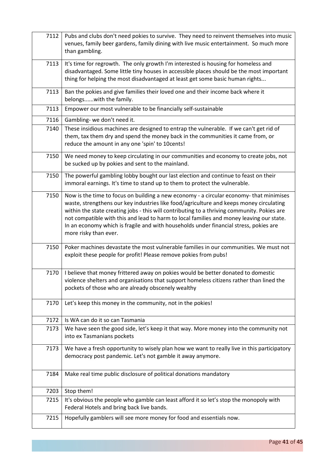| 7112 | Pubs and clubs don't need pokies to survive. They need to reinvent themselves into music<br>venues, family beer gardens, family dining with live music entertainment. So much more<br>than gambling.                                                                                                                                                                                                                                                                                            |
|------|-------------------------------------------------------------------------------------------------------------------------------------------------------------------------------------------------------------------------------------------------------------------------------------------------------------------------------------------------------------------------------------------------------------------------------------------------------------------------------------------------|
| 7113 | It's time for regrowth. The only growth I'm interested is housing for homeless and<br>disadvantaged. Some little tiny houses in accessible places should be the most important<br>thing for helping the most disadvantaged at least get some basic human rights                                                                                                                                                                                                                                 |
| 7113 | Ban the pokies and give families their loved one and their income back where it<br>belongswith the family.                                                                                                                                                                                                                                                                                                                                                                                      |
| 7113 | Empower our most vulnerable to be financially self-sustainable                                                                                                                                                                                                                                                                                                                                                                                                                                  |
| 7116 | Gambling- we don't need it.                                                                                                                                                                                                                                                                                                                                                                                                                                                                     |
| 7140 | These insidious machines are designed to entrap the vulnerable. If we can't get rid of<br>them, tax them dry and spend the money back in the communities it came from, or<br>reduce the amount in any one 'spin' to 10cents!                                                                                                                                                                                                                                                                    |
| 7150 | We need money to keep circulating in our communities and economy to create jobs, not<br>be sucked up by pokies and sent to the mainland.                                                                                                                                                                                                                                                                                                                                                        |
| 7150 | The powerful gambling lobby bought our last election and continue to feast on their<br>immoral earnings. It's time to stand up to them to protect the vulnerable.                                                                                                                                                                                                                                                                                                                               |
| 7150 | Now is the time to focus on building a new economy - a circular economy- that minimises<br>waste, strengthens our key industries like food/agriculture and keeps money circulating<br>within the state creating jobs - this will contributing to a thriving community. Pokies are<br>not compatible with this and lead to harm to local families and money leaving our state.<br>In an economy which is fragile and with households under financial stress, pokies are<br>more risky than ever. |
| 7150 | Poker machines devastate the most vulnerable families in our communities. We must not<br>exploit these people for profit! Please remove pokies from pubs!                                                                                                                                                                                                                                                                                                                                       |
| 7170 | I believe that money frittered away on pokies would be better donated to domestic<br>violence shelters and organisations that support homeless citizens rather than lined the<br>pockets of those who are already obscenely wealthy                                                                                                                                                                                                                                                             |
| 7170 | Let's keep this money in the community, not in the pokies!                                                                                                                                                                                                                                                                                                                                                                                                                                      |
| 7172 | Is WA can do it so can Tasmania                                                                                                                                                                                                                                                                                                                                                                                                                                                                 |
| 7173 | We have seen the good side, let's keep it that way. More money into the community not<br>into ex Tasmanians pockets                                                                                                                                                                                                                                                                                                                                                                             |
| 7173 | We have a fresh opportunity to wisely plan how we want to really live in this participatory<br>democracy post pandemic. Let's not gamble it away anymore.                                                                                                                                                                                                                                                                                                                                       |
| 7184 | Make real time public disclosure of political donations mandatory                                                                                                                                                                                                                                                                                                                                                                                                                               |
| 7203 | Stop them!                                                                                                                                                                                                                                                                                                                                                                                                                                                                                      |
| 7215 | It's obvious the people who gamble can least afford it so let's stop the monopoly with<br>Federal Hotels and bring back live bands.                                                                                                                                                                                                                                                                                                                                                             |
| 7215 | Hopefully gamblers will see more money for food and essentials now.                                                                                                                                                                                                                                                                                                                                                                                                                             |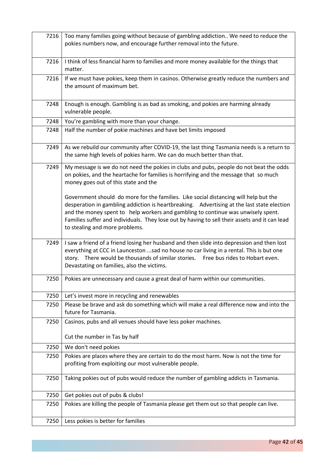| 7216 | Too many families going without because of gambling addiction We need to reduce the<br>pokies numbers now, and encourage further removal into the future.                                                                                                                                                                                                                                                 |
|------|-----------------------------------------------------------------------------------------------------------------------------------------------------------------------------------------------------------------------------------------------------------------------------------------------------------------------------------------------------------------------------------------------------------|
| 7216 | I think of less financial harm to families and more money available for the things that<br>matter.                                                                                                                                                                                                                                                                                                        |
| 7216 | If we must have pokies, keep them in casinos. Otherwise greatly reduce the numbers and<br>the amount of maximum bet.                                                                                                                                                                                                                                                                                      |
| 7248 | Enough is enough. Gambling is as bad as smoking, and pokies are harming already<br>vulnerable people.                                                                                                                                                                                                                                                                                                     |
| 7248 | You're gambling with more than your change.                                                                                                                                                                                                                                                                                                                                                               |
| 7248 | Half the number of pokie machines and have bet limits imposed                                                                                                                                                                                                                                                                                                                                             |
| 7249 | As we rebuild our community after COVID-19, the last thing Tasmania needs is a return to<br>the same high levels of pokies harm. We can do much better than that.                                                                                                                                                                                                                                         |
| 7249 | My message is we do not need the pokies in clubs and pubs, people do not beat the odds<br>on pokies, and the heartache for families is horrifying and the message that so much<br>money goes out of this state and the                                                                                                                                                                                    |
|      | Government should do more for the families. Like social distancing will help but the<br>desperation in gambling addiction is heartbreaking. Advertising at the last state election<br>and the money spent to help workers and gambling to continue was unwisely spent.<br>Families suffer and individuals. They lose out by having to sell their assets and it can lead<br>to stealing and more problems. |
| 7249 | I saw a friend of a friend losing her husband and then slide into depression and then lost<br>everything at CCC in Launceston sad no house no car living in a rental. This is but one<br>story. There would be thousands of similar stories.<br>Free bus rides to Hobart even.<br>Devastating on families, also the victims.                                                                              |
| 7250 | Pokies are unnecessary and cause a great deal of harm within our communities.                                                                                                                                                                                                                                                                                                                             |
| 7250 | Let's invest more in recycling and renewables                                                                                                                                                                                                                                                                                                                                                             |
| 7250 | Please be brave and ask do something which will make a real difference now and into the<br>future for Tasmania.                                                                                                                                                                                                                                                                                           |
| 7250 | Casinos, pubs and all venues should have less poker machines.<br>Cut the number in Tas by half                                                                                                                                                                                                                                                                                                            |
| 7250 | We don't need pokies                                                                                                                                                                                                                                                                                                                                                                                      |
| 7250 | Pokies are places where they are certain to do the most harm. Now is not the time for                                                                                                                                                                                                                                                                                                                     |
|      | profiting from exploiting our most vulnerable people.                                                                                                                                                                                                                                                                                                                                                     |
| 7250 | Taking pokies out of pubs would reduce the number of gambling addicts in Tasmania.                                                                                                                                                                                                                                                                                                                        |
| 7250 | Get pokies out of pubs & clubs!                                                                                                                                                                                                                                                                                                                                                                           |
| 7250 | Pokies are killing the people of Tasmania please get them out so that people can live.                                                                                                                                                                                                                                                                                                                    |
| 7250 | Less pokies is better for families                                                                                                                                                                                                                                                                                                                                                                        |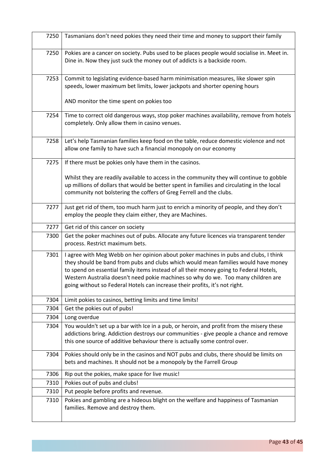| 7250 | Tasmanians don't need pokies they need their time and money to support their family                                                                                    |
|------|------------------------------------------------------------------------------------------------------------------------------------------------------------------------|
| 7250 | Pokies are a cancer on society. Pubs used to be places people would socialise in. Meet in.<br>Dine in. Now they just suck the money out of addicts is a backside room. |
| 7253 | Commit to legislating evidence-based harm minimisation measures, like slower spin                                                                                      |
|      | speeds, lower maximum bet limits, lower jackpots and shorter opening hours                                                                                             |
|      |                                                                                                                                                                        |
|      | AND monitor the time spent on pokies too                                                                                                                               |
| 7254 | Time to correct old dangerous ways, stop poker machines availability, remove from hotels                                                                               |
|      | completely. Only allow them in casino venues.                                                                                                                          |
|      |                                                                                                                                                                        |
| 7258 | Let's help Tasmanian families keep food on the table, reduce domestic violence and not                                                                                 |
|      | allow one family to have such a financial monopoly on our economy                                                                                                      |
|      |                                                                                                                                                                        |
| 7275 | If there must be pokies only have them in the casinos.                                                                                                                 |
|      |                                                                                                                                                                        |
|      | Whilst they are readily available to access in the community they will continue to gobble                                                                              |
|      | up millions of dollars that would be better spent in families and circulating in the local                                                                             |
|      | community not bolstering the coffers of Greg Ferrell and the clubs.                                                                                                    |
|      |                                                                                                                                                                        |
| 7277 | Just get rid of them, too much harm just to enrich a minority of people, and they don't                                                                                |
|      | employ the people they claim either, they are Machines.                                                                                                                |
|      |                                                                                                                                                                        |
| 7277 | Get rid of this cancer on society                                                                                                                                      |
| 7300 | Get the poker machines out of pubs. Allocate any future licences via transparent tender                                                                                |
|      | process. Restrict maximum bets.                                                                                                                                        |
| 7301 | I agree with Meg Webb on her opinion about poker machines in pubs and clubs, I think                                                                                   |
|      | they should be band from pubs and clubs which would mean families would have money                                                                                     |
|      | to spend on essential family items instead of all their money going to Federal Hotels,                                                                                 |
|      | Western Australia doesn't need pokie machines so why do we. Too many children are                                                                                      |
|      | going without so Federal Hotels can increase their profits, it's not right.                                                                                            |
|      |                                                                                                                                                                        |
| 7304 | Limit pokies to casinos, betting limits and time limits!                                                                                                               |
| 7304 | Get the pokies out of pubs!                                                                                                                                            |
| 7304 | Long overdue                                                                                                                                                           |
| 7304 | You wouldn't set up a bar with Ice in a pub, or heroin, and profit from the misery these                                                                               |
|      | addictions bring. Addiction destroys our communities - give people a chance and remove                                                                                 |
|      | this one source of additive behaviour there is actually some control over.                                                                                             |
|      |                                                                                                                                                                        |
| 7304 | Pokies should only be in the casinos and NOT pubs and clubs, there should be limits on                                                                                 |
|      | bets and machines. It should not be a monopoly by the Farrell Group                                                                                                    |
|      |                                                                                                                                                                        |
| 7306 | Rip out the pokies, make space for live music!                                                                                                                         |
| 7310 | Pokies out of pubs and clubs!                                                                                                                                          |
| 7310 | Put people before profits and revenue.                                                                                                                                 |
| 7310 | Pokies and gambling are a hideous blight on the welfare and happiness of Tasmanian                                                                                     |
|      | families. Remove and destroy them.                                                                                                                                     |
|      |                                                                                                                                                                        |
|      |                                                                                                                                                                        |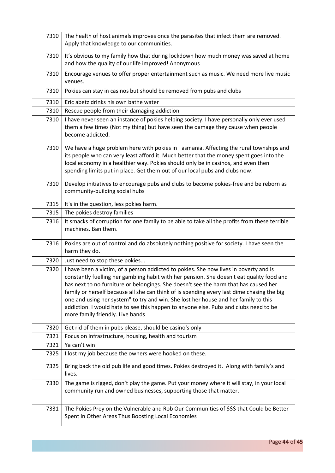| 7310 | The health of host animals improves once the parasites that infect them are removed.<br>Apply that knowledge to our communities.                                                                                                                                                                                                                                                                                                                                                                                                                                                            |
|------|---------------------------------------------------------------------------------------------------------------------------------------------------------------------------------------------------------------------------------------------------------------------------------------------------------------------------------------------------------------------------------------------------------------------------------------------------------------------------------------------------------------------------------------------------------------------------------------------|
| 7310 | It's obvious to my family how that during lockdown how much money was saved at home<br>and how the quality of our life improved! Anonymous                                                                                                                                                                                                                                                                                                                                                                                                                                                  |
| 7310 | Encourage venues to offer proper entertainment such as music. We need more live music<br>venues.                                                                                                                                                                                                                                                                                                                                                                                                                                                                                            |
| 7310 | Pokies can stay in casinos but should be removed from pubs and clubs                                                                                                                                                                                                                                                                                                                                                                                                                                                                                                                        |
| 7310 | Eric abetz drinks his own bathe water                                                                                                                                                                                                                                                                                                                                                                                                                                                                                                                                                       |
| 7310 | Rescue people from their damaging addiction                                                                                                                                                                                                                                                                                                                                                                                                                                                                                                                                                 |
| 7310 | I have never seen an instance of pokies helping society. I have personally only ever used<br>them a few times (Not my thing) but have seen the damage they cause when people<br>become addicted.                                                                                                                                                                                                                                                                                                                                                                                            |
| 7310 | We have a huge problem here with pokies in Tasmania. Affecting the rural townships and<br>its people who can very least afford it. Much better that the money spent goes into the<br>local economy in a healthier way. Pokies should only be in casinos, and even then<br>spending limits put in place. Get them out of our local pubs and clubs now.                                                                                                                                                                                                                                       |
| 7310 | Develop initiatives to encourage pubs and clubs to become pokies-free and be reborn as<br>community-building social hubs                                                                                                                                                                                                                                                                                                                                                                                                                                                                    |
| 7315 | It's in the question, less pokies harm.                                                                                                                                                                                                                                                                                                                                                                                                                                                                                                                                                     |
| 7315 | The pokies destroy families                                                                                                                                                                                                                                                                                                                                                                                                                                                                                                                                                                 |
| 7316 | It smacks of corruption for one family to be able to take all the profits from these terrible<br>machines. Ban them.                                                                                                                                                                                                                                                                                                                                                                                                                                                                        |
| 7316 | Pokies are out of control and do absolutely nothing positive for society. I have seen the<br>harm they do.                                                                                                                                                                                                                                                                                                                                                                                                                                                                                  |
| 7320 | Just need to stop these pokies                                                                                                                                                                                                                                                                                                                                                                                                                                                                                                                                                              |
| 7320 | I have been a victim, of a person addicted to pokies. She now lives in poverty and is<br>constantly fuelling her gambling habit with her pension. She doesn't eat quality food and<br>has next to no furniture or belongings. She doesn't see the harm that has caused her<br>family or herself because all she can think of is spending every last dime chasing the big<br>one and using her system" to try and win. She lost her house and her family to this<br>addiction. I would hate to see this happen to anyone else. Pubs and clubs need to be<br>more family friendly. Live bands |
| 7320 | Get rid of them in pubs please, should be casino's only                                                                                                                                                                                                                                                                                                                                                                                                                                                                                                                                     |
| 7321 | Focus on infrastructure, housing, health and tourism                                                                                                                                                                                                                                                                                                                                                                                                                                                                                                                                        |
| 7321 | Ya can't win                                                                                                                                                                                                                                                                                                                                                                                                                                                                                                                                                                                |
| 7325 | I lost my job because the owners were hooked on these.                                                                                                                                                                                                                                                                                                                                                                                                                                                                                                                                      |
| 7325 | Bring back the old pub life and good times. Pokies destroyed it. Along with family's and<br>lives.                                                                                                                                                                                                                                                                                                                                                                                                                                                                                          |
| 7330 | The game is rigged, don't play the game. Put your money where it will stay, in your local<br>community run and owned businesses, supporting those that matter.                                                                                                                                                                                                                                                                                                                                                                                                                              |
| 7331 | The Pokies Prey on the Vulnerable and Rob Our Communities of \$\$\$ that Could be Better<br>Spent in Other Areas Thus Boosting Local Economies                                                                                                                                                                                                                                                                                                                                                                                                                                              |